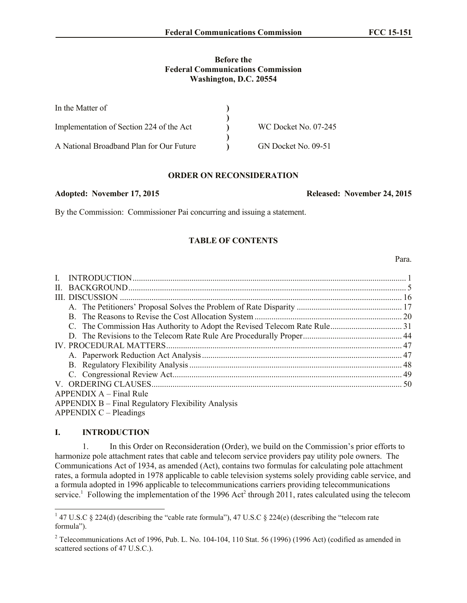### **Before the Federal Communications Commission Washington, D.C. 20554**

| In the Matter of                         |                      |
|------------------------------------------|----------------------|
|                                          |                      |
| Implementation of Section 224 of the Act | WC Docket No. 07-245 |
|                                          |                      |
| A National Broadband Plan for Our Future | GN Docket No. 09-51  |

### **ORDER ON RECONSIDERATION**

#### **Adopted: November 17, 2015 Released: November 24, 2015**

By the Commission: Commissioner Pai concurring and issuing a statement.

### **TABLE OF CONTENTS**

Para.

| $APPENDIX A - Final Rule$                          |  |
|----------------------------------------------------|--|
| APPENDIX B – Final Regulatory Flexibility Analysis |  |
|                                                    |  |

APPENDIX C – Pleadings

## **I. INTRODUCTION**

1. In this Order on Reconsideration (Order), we build on the Commission's prior efforts to harmonize pole attachment rates that cable and telecom service providers pay utility pole owners. The Communications Act of 1934, as amended (Act), contains two formulas for calculating pole attachment rates, a formula adopted in 1978 applicable to cable television systems solely providing cable service, and a formula adopted in 1996 applicable to telecommunications carriers providing telecommunications service.<sup>1</sup> Following the implementation of the 1996 Act<sup>2</sup> through 2011, rates calculated using the telecom

<sup>&</sup>lt;sup>1</sup> 47 U.S.C § 224(d) (describing the "cable rate formula"), 47 U.S.C § 224(e) (describing the "telecom rate formula").

<sup>&</sup>lt;sup>2</sup> Telecommunications Act of 1996, Pub. L. No. 104-104, 110 Stat. 56 (1996) (1996 Act) (codified as amended in scattered sections of 47 U.S.C.).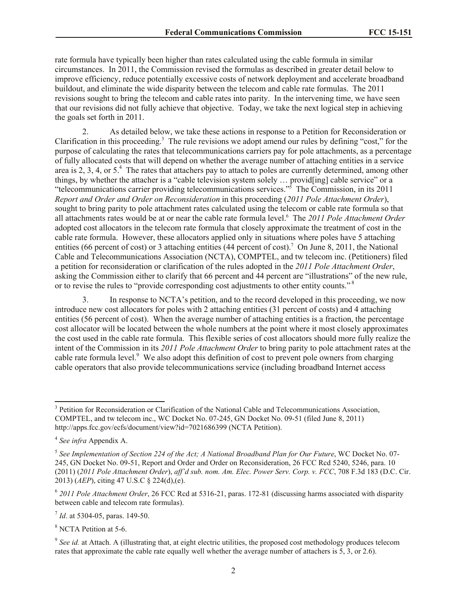rate formula have typically been higher than rates calculated using the cable formula in similar circumstances. In 2011, the Commission revised the formulas as described in greater detail below to improve efficiency, reduce potentially excessive costs of network deployment and accelerate broadband buildout, and eliminate the wide disparity between the telecom and cable rate formulas. The 2011 revisions sought to bring the telecom and cable rates into parity. In the intervening time, we have seen that our revisions did not fully achieve that objective. Today, we take the next logical step in achieving the goals set forth in 2011.

2. As detailed below, we take these actions in response to a Petition for Reconsideration or Clarification in this proceeding.<sup>3</sup> The rule revisions we adopt amend our rules by defining "cost," for the purpose of calculating the rates that telecommunications carriers pay for pole attachments, as a percentage of fully allocated costs that will depend on whether the average number of attaching entities in a service area is 2, 3, 4, or  $5<sup>4</sup>$ . The rates that attachers pay to attach to poles are currently determined, among other things, by whether the attacher is a "cable television system solely … provid[ing] cable service" or a "telecommunications carrier providing telecommunications services." 5 The Commission, in its 2011 *Report and Order and Order on Reconsideration* in this proceeding (*2011 Pole Attachment Order*), sought to bring parity to pole attachment rates calculated using the telecom or cable rate formula so that all attachments rates would be at or near the cable rate formula level.<sup>6</sup> The *2011 Pole Attachment Order* adopted cost allocators in the telecom rate formula that closely approximate the treatment of cost in the cable rate formula. However, these allocators applied only in situations where poles have 5 attaching entities (66 percent of cost) or 3 attaching entities (44 percent of cost).<sup>7</sup> On June 8, 2011, the National Cable and Telecommunications Association (NCTA), COMPTEL, and tw telecom inc. (Petitioners) filed a petition for reconsideration or clarification of the rules adopted in the *2011 Pole Attachment Order*, asking the Commission either to clarify that 66 percent and 44 percent are "illustrations" of the new rule, or to revise the rules to "provide corresponding cost adjustments to other entity counts."<sup>8</sup>

In response to NCTA's petition, and to the record developed in this proceeding, we now introduce new cost allocators for poles with 2 attaching entities (31 percent of costs) and 4 attaching entities (56 percent of cost). When the average number of attaching entities is a fraction, the percentage cost allocator will be located between the whole numbers at the point where it most closely approximates the cost used in the cable rate formula. This flexible series of cost allocators should more fully realize the intent of the Commission in its *2011 Pole Attachment Order* to bring parity to pole attachment rates at the cable rate formula level.<sup>9</sup> We also adopt this definition of cost to prevent pole owners from charging cable operators that also provide telecommunications service (including broadband Internet access

 $\overline{\phantom{a}}$ 

<sup>&</sup>lt;sup>3</sup> Petition for Reconsideration or Clarification of the National Cable and Telecommunications Association, COMPTEL, and tw telecom inc., WC Docket No. 07-245, GN Docket No. 09-51 (filed June 8, 2011) http://apps.fcc.gov/ecfs/document/view?id=7021686399 (NCTA Petition).

<sup>4</sup> *See infra* Appendix A.

<sup>5</sup> *See Implementation of Section 224 of the Act; A National Broadband Plan for Our Future*, WC Docket No. 07- 245, GN Docket No. 09-51, Report and Order and Order on Reconsideration, 26 FCC Rcd 5240, 5246, para. 10 (2011) (*2011 Pole Attachment Order*), *aff'd sub. nom. Am. Elec. Power Serv. Corp. v. FCC*, 708 F.3d 183 (D.C. Cir. 2013) (*AEP*), citing 47 U.S.C § 224(d),(e).

<sup>6</sup> *2011 Pole Attachment Order*, 26 FCC Rcd at 5316-21, paras. 172-81 (discussing harms associated with disparity between cable and telecom rate formulas).

<sup>7</sup> *Id*. at 5304-05, paras. 149-50.

<sup>8</sup> NCTA Petition at 5-6.

<sup>&</sup>lt;sup>9</sup> See id. at Attach. A (illustrating that, at eight electric utilities, the proposed cost methodology produces telecom rates that approximate the cable rate equally well whether the average number of attachers is 5, 3, or 2.6).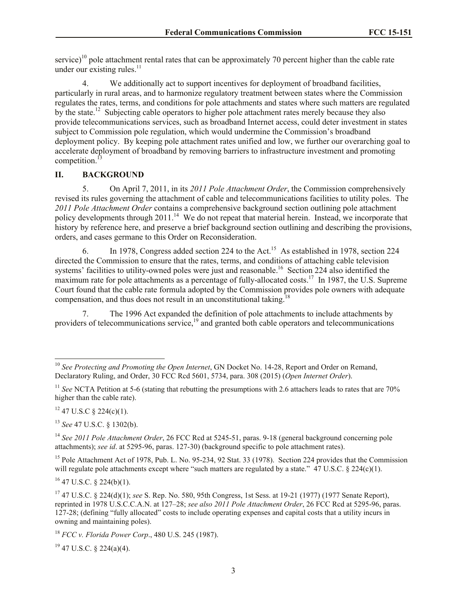service)<sup>10</sup> pole attachment rental rates that can be approximately 70 percent higher than the cable rate under our existing rules.<sup>11</sup>

4. We additionally act to support incentives for deployment of broadband facilities, particularly in rural areas, and to harmonize regulatory treatment between states where the Commission regulates the rates, terms, and conditions for pole attachments and states where such matters are regulated by the state.<sup>12</sup> Subjecting cable operators to higher pole attachment rates merely because they also provide telecommunications services, such as broadband Internet access, could deter investment in states subject to Commission pole regulation, which would undermine the Commission's broadband deployment policy. By keeping pole attachment rates unified and low, we further our overarching goal to accelerate deployment of broadband by removing barriers to infrastructure investment and promoting competition.<sup>13</sup>

### **II. BACKGROUND**

5. On April 7, 2011, in its *2011 Pole Attachment Order*, the Commission comprehensively revised its rules governing the attachment of cable and telecommunications facilities to utility poles. The *2011 Pole Attachment Order* contains a comprehensive background section outlining pole attachment policy developments through 2011.<sup>14</sup> We do not repeat that material herein. Instead, we incorporate that history by reference here, and preserve a brief background section outlining and describing the provisions, orders, and cases germane to this Order on Reconsideration.

6. In 1978, Congress added section 224 to the Act.<sup>15</sup> As established in 1978, section 224 directed the Commission to ensure that the rates, terms, and conditions of attaching cable television systems' facilities to utility-owned poles were just and reasonable.<sup>16</sup> Section 224 also identified the maximum rate for pole attachments as a percentage of fully-allocated costs.<sup>17</sup> In 1987, the U.S. Supreme Court found that the cable rate formula adopted by the Commission provides pole owners with adequate compensation, and thus does not result in an unconstitutional taking.<sup>18</sup>

7. The 1996 Act expanded the definition of pole attachments to include attachments by providers of telecommunications service, $^{19}$  and granted both cable operators and telecommunications

 $12$  47 U.S.C § 224(c)(1).

l

<sup>13</sup> *See* 47 U.S.C. § 1302(b).

<sup>15</sup> Pole Attachment Act of 1978, Pub. L. No. 95-234, 92 Stat. 33 (1978). Section 224 provides that the Commission will regulate pole attachments except where "such matters are regulated by a state." 47 U.S.C. § 224(c)(1).

 $16$  47 U.S.C. § 224(b)(1).

 $19$  47 U.S.C. § 224(a)(4).

<sup>&</sup>lt;sup>10</sup> See Protecting and Promoting the Open Internet, GN Docket No. 14-28, Report and Order on Remand, Declaratory Ruling, and Order, 30 FCC Rcd 5601, 5734, para. 308 (2015) (*Open Internet Order*).

<sup>&</sup>lt;sup>11</sup> *See* NCTA Petition at 5-6 (stating that rebutting the presumptions with 2.6 attachers leads to rates that are 70% higher than the cable rate).

<sup>14</sup> *See 2011 Pole Attachment Order*, 26 FCC Rcd at 5245-51, paras. 9-18 (general background concerning pole attachments); *see id*. at 5295-96, paras. 127-30) (background specific to pole attachment rates).

<sup>17</sup> 47 U.S.C. § 224(d)(1); *see* S. Rep. No. 580, 95th Congress, 1st Sess. at 19-21 (1977) (1977 Senate Report), reprinted in 1978 U.S.C.C.A.N. at 127–28; *see also 2011 Pole Attachment Order*, 26 FCC Rcd at 5295-96, paras. 127-28; (defining "fully allocated" costs to include operating expenses and capital costs that a utility incurs in owning and maintaining poles).

<sup>18</sup> *FCC v. Florida Power Corp*., 480 U.S. 245 (1987).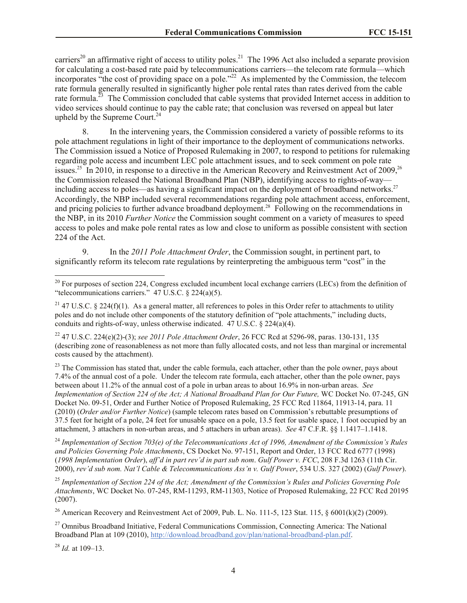carriers<sup>20</sup> an affirmative right of access to utility poles.<sup>21</sup> The 1996 Act also included a separate provision for calculating a cost-based rate paid by telecommunications carriers—the telecom rate formula—which incorporates "the cost of providing space on a pole."<sup>22</sup> As implemented by the Commission, the telecom rate formula generally resulted in significantly higher pole rental rates than rates derived from the cable rate formula.<sup>23</sup> The Commission concluded that cable systems that provided Internet access in addition to video services should continue to pay the cable rate; that conclusion was reversed on appeal but later upheld by the Supreme Court. $^{24}$ 

8. In the intervening years, the Commission considered a variety of possible reforms to its pole attachment regulations in light of their importance to the deployment of communications networks. The Commission issued a Notice of Proposed Rulemaking in 2007, to respond to petitions for rulemaking regarding pole access and incumbent LEC pole attachment issues, and to seek comment on pole rate issues.<sup>25</sup> In 2010, in response to a directive in the American Recovery and Reinvestment Act of 2009,<sup>26</sup> the Commission released the National Broadband Plan (NBP), identifying access to rights-of-way including access to poles—as having a significant impact on the deployment of broadband networks.<sup>27</sup> Accordingly, the NBP included several recommendations regarding pole attachment access, enforcement, and pricing policies to further advance broadband deployment.<sup>28</sup> Following on the recommendations in the NBP, in its 2010 *Further Notice* the Commission sought comment on a variety of measures to speed access to poles and make pole rental rates as low and close to uniform as possible consistent with section 224 of the Act.

9. In the *2011 Pole Attachment Order*, the Commission sought, in pertinent part, to significantly reform its telecom rate regulations by reinterpreting the ambiguous term "cost" in the

<sup>22</sup> 47 U.S.C. 224(e)(2)-(3); *see 2011 Pole Attachment Order*, 26 FCC Rcd at 5296-98, paras. 130-131, 135 (describing zone of reasonableness as not more than fully allocated costs, and not less than marginal or incremental costs caused by the attachment).

 $^{23}$  The Commission has stated that, under the cable formula, each attacher, other than the pole owner, pays about 7.4% of the annual cost of a pole. Under the telecom rate formula, each attacher, other than the pole owner, pays between about 11.2% of the annual cost of a pole in urban areas to about 16.9% in non-urban areas. *See Implementation of Section 224 of the Act; A National Broadband Plan for Our Future,* WC Docket No. 07-245, GN Docket No. 09-51, Order and Further Notice of Proposed Rulemaking, 25 FCC Rcd 11864, 11913-14, para. 11 (2010) (*Order and/or Further Notice*) (sample telecom rates based on Commission's rebuttable presumptions of 37.5 feet for height of a pole, 24 feet for unusable space on a pole, 13.5 feet for usable space, 1 foot occupied by an attachment, 3 attachers in non-urban areas, and 5 attachers in urban areas). *See* 47 C.F.R. §§ 1.1417–1.1418.

<sup>24</sup> *Implementation of Section 703(e) of the Telecommunications Act of 1996, Amendment of the Commission's Rules and Policies Governing Pole Attachments*, CS Docket No. 97-151, Report and Order, 13 FCC Rcd 6777 (1998) (*1998 Implementation Order*), *aff'd in part rev'd in part sub nom*. *Gulf Power v. FCC*, 208 F.3d 1263 (11th Cir. 2000), *rev'd sub nom. Nat'l Cable & Telecommunications Ass'n v. Gulf Power*, 534 U.S. 327 (2002) (*Gulf Power*).

<sup>25</sup> *Implementation of Section 224 of the Act; Amendment of the Commission's Rules and Policies Governing Pole Attachments*, WC Docket No. 07-245, RM-11293, RM-11303, Notice of Proposed Rulemaking, 22 FCC Rcd 20195 (2007).

<sup>26</sup> American Recovery and Reinvestment Act of 2009, Pub. L. No. 111-5, 123 Stat. 115,  $\frac{6001}{k}(2)$  (2009).

<sup>27</sup> Omnibus Broadband Initiative, Federal Communications Commission, Connecting America: The National Broadband Plan at 109 (2010), http://download.broadband.gov/plan/national-broadband-plan.pdf.

<sup>28</sup> *Id.* at 109–13.

 $\overline{\phantom{a}}$ 

 $^{20}$  For purposes of section 224, Congress excluded incumbent local exchange carriers (LECs) from the definition of "telecommunications carriers." 47 U.S.C. § 224(a)(5).

<sup>&</sup>lt;sup>21</sup> 47 U.S.C. § 224(f)(1). As a general matter, all references to poles in this Order refer to attachments to utility poles and do not include other components of the statutory definition of "pole attachments," including ducts, conduits and rights-of-way, unless otherwise indicated. 47 U.S.C. § 224(a)(4).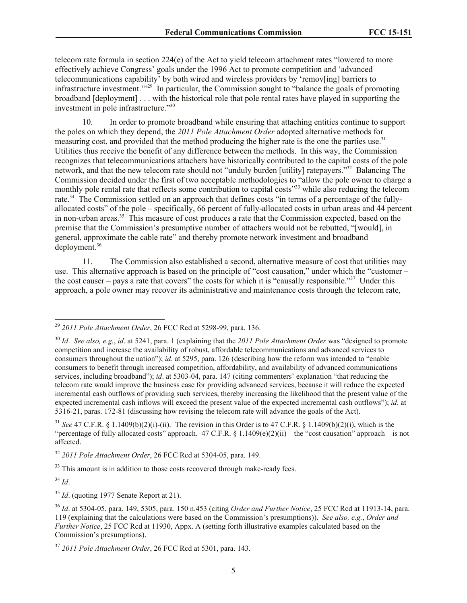telecom rate formula in section 224(e) of the Act to yield telecom attachment rates "lowered to more effectively achieve Congress' goals under the 1996 Act to promote competition and 'advanced telecommunications capability' by both wired and wireless providers by 'remov[ing] barriers to infrastructure investment.'"<sup>29</sup> In particular, the Commission sought to "balance the goals of promoting broadband [deployment] . . . with the historical role that pole rental rates have played in supporting the investment in pole infrastructure."<sup>30</sup>

10. In order to promote broadband while ensuring that attaching entities continue to support the poles on which they depend, the *2011 Pole Attachment Order* adopted alternative methods for measuring cost, and provided that the method producing the higher rate is the one the parties use.<sup>31</sup> Utilities thus receive the benefit of any difference between the methods. In this way, the Commission recognizes that telecommunications attachers have historically contributed to the capital costs of the pole network, and that the new telecom rate should not "unduly burden [utility] ratepayers."<sup>32</sup> Balancing The Commission decided under the first of two acceptable methodologies to "allow the pole owner to charge a monthly pole rental rate that reflects some contribution to capital costs<sup>333</sup> while also reducing the telecom rate.<sup>34</sup> The Commission settled on an approach that defines costs "in terms of a percentage of the fullyallocated costs" of the pole – specifically, 66 percent of fully-allocated costs in urban areas and 44 percent in non-urban areas.<sup>35</sup> This measure of cost produces a rate that the Commission expected, based on the premise that the Commission's presumptive number of attachers would not be rebutted, "[would], in general, approximate the cable rate" and thereby promote network investment and broadband deployment.<sup>36</sup>

11. The Commission also established a second, alternative measure of cost that utilities may use. This alternative approach is based on the principle of "cost causation," under which the "customer – the cost causer – pays a rate that covers" the costs for which it is "causally responsible."<sup>37</sup> Under this approach, a pole owner may recover its administrative and maintenance costs through the telecom rate,

<sup>34</sup> *Id*.

l

<sup>29</sup> *2011 Pole Attachment Order*, 26 FCC Rcd at 5298-99, para. 136.

<sup>30</sup> *Id*. *See also, e.g.*, *id*. at 5241, para. 1 (explaining that the *2011 Pole Attachment Order* was "designed to promote competition and increase the availability of robust, affordable telecommunications and advanced services to consumers throughout the nation"); *id*. at 5295, para. 126 (describing how the reform was intended to "enable consumers to benefit through increased competition, affordability, and availability of advanced communications services, including broadband"); *id*. at 5303-04, para. 147 (citing commenters' explanation "that reducing the telecom rate would improve the business case for providing advanced services, because it will reduce the expected incremental cash outflows of providing such services, thereby increasing the likelihood that the present value of the expected incremental cash inflows will exceed the present value of the expected incremental cash outflows"); *id*. at 5316-21, paras. 172-81 (discussing how revising the telecom rate will advance the goals of the Act).

<sup>&</sup>lt;sup>31</sup> *See* 47 C.F.R. § 1.1409(b)(2)(i)-(ii). The revision in this Order is to 47 C.F.R. § 1.1409(b)(2)(i), which is the "percentage of fully allocated costs" approach.  $47 \text{ C.F.R.} \$ §  $1.1409(e)(2)(ii)$ —the "cost causation" approach—is not affected.

<sup>32</sup> *2011 Pole Attachment Order*, 26 FCC Rcd at 5304-05, para. 149.

 $33$  This amount is in addition to those costs recovered through make-ready fees.

<sup>&</sup>lt;sup>35</sup> *Id.* (quoting 1977 Senate Report at 21).

<sup>36</sup> *Id*. at 5304-05, para. 149, 5305, para. 150 n.453 (citing *Order and Further Notice*, 25 FCC Rcd at 11913-14, para. 119 (explaining that the calculations were based on the Commission's presumptions)). *See also, e.g.*, *Order and Further Notice*, 25 FCC Rcd at 11930, Appx. A (setting forth illustrative examples calculated based on the Commission's presumptions).

<sup>37</sup> *2011 Pole Attachment Order*, 26 FCC Rcd at 5301, para. 143.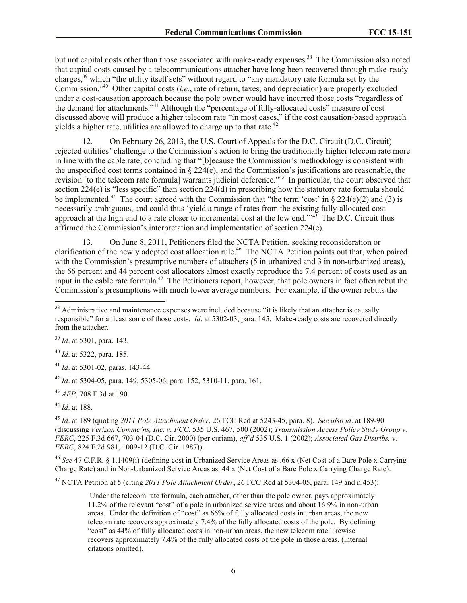but not capital costs other than those associated with make-ready expenses.<sup>38</sup> The Commission also noted that capital costs caused by a telecommunications attacher have long been recovered through make-ready charges,<sup>39</sup> which "the utility itself sets" without regard to "any mandatory rate formula set by the Commission."<sup>40</sup> Other capital costs (*i.e.*, rate of return, taxes, and depreciation) are properly excluded under a cost-causation approach because the pole owner would have incurred those costs "regardless of the demand for attachments."<sup>41</sup> Although the "percentage of fully-allocated costs" measure of cost discussed above will produce a higher telecom rate "in most cases," if the cost causation-based approach yields a higher rate, utilities are allowed to charge up to that rate.<sup>42</sup>

12. On February 26, 2013, the U.S. Court of Appeals for the D.C. Circuit (D.C. Circuit) rejected utilities' challenge to the Commission's action to bring the traditionally higher telecom rate more in line with the cable rate, concluding that "[b]ecause the Commission's methodology is consistent with the unspecified cost terms contained in  $\S 224(e)$ , and the Commission's justifications are reasonable, the revision [to the telecom rate formula] warrants judicial deference.<sup>243</sup> In particular, the court observed that section 224(e) is "less specific" than section 224(d) in prescribing how the statutory rate formula should be implemented.<sup>44</sup> The court agreed with the Commission that "the term 'cost' in  $\S 224(e)(2)$  and (3) is necessarily ambiguous, and could thus 'yield a range of rates from the existing fully-allocated cost approach at the high end to a rate closer to incremental cost at the low end.<sup>1145</sup> The D.C. Circuit thus affirmed the Commission's interpretation and implementation of section 224(e).

13. On June 8, 2011, Petitioners filed the NCTA Petition, seeking reconsideration or clarification of the newly adopted cost allocation rule.<sup>46</sup> The NCTA Petition points out that, when paired with the Commission's presumptive numbers of attachers (5 in urbanized and 3 in non-urbanized areas), the 66 percent and 44 percent cost allocators almost exactly reproduce the 7.4 percent of costs used as an input in the cable rate formula.<sup>47</sup> The Petitioners report, however, that pole owners in fact often rebut the Commission's presumptions with much lower average numbers. For example, if the owner rebuts the

<sup>39</sup> *Id*. at 5301, para. 143.

<sup>40</sup> *Id*. at 5322, para. 185.

<sup>41</sup> *Id*. at 5301-02, paras. 143-44.

<sup>42</sup> *Id*. at 5304-05, para. 149, 5305-06, para. 152, 5310-11, para. 161.

<sup>43</sup> *AEP*, 708 F.3d at 190.

<sup>44</sup> *Id*. at 188.

l

<sup>45</sup> *Id*. at 189 (quoting *2011 Pole Attachment Order*, 26 FCC Rcd at 5243-45, para. 8). *See also id*. at 189-90 (discussing *Verizon Commc'ns, Inc. v. FCC*, 535 U.S. 467, 500 (2002); *Transmission Access Policy Study Group v. FERC*, 225 F.3d 667, 703-04 (D.C. Cir. 2000) (per curiam), *aff'd* 535 U.S. 1 (2002); *Associated Gas Distribs. v. FERC*, 824 F.2d 981, 1009-12 (D.C. Cir. 1987)).

<sup>46</sup> *See* 47 C.F.R. § 1.1409(i) (defining cost in Urbanized Service Areas as .66 x (Net Cost of a Bare Pole x Carrying Charge Rate) and in Non-Urbanized Service Areas as .44 x (Net Cost of a Bare Pole x Carrying Charge Rate).

<sup>47</sup> NCTA Petition at 5 (citing *2011 Pole Attachment Order*, 26 FCC Rcd at 5304-05, para. 149 and n.453):

Under the telecom rate formula, each attacher, other than the pole owner, pays approximately 11.2% of the relevant "cost" of a pole in urbanized service areas and about 16.9% in non-urban areas. Under the definition of "cost" as 66% of fully allocated costs in urban areas, the new telecom rate recovers approximately 7.4% of the fully allocated costs of the pole. By defining "cost" as 44% of fully allocated costs in non-urban areas, the new telecom rate likewise recovers approximately 7.4% of the fully allocated costs of the pole in those areas. (internal citations omitted).

 $38$  Administrative and maintenance expenses were included because "it is likely that an attacher is causally responsible" for at least some of those costs. *Id*. at 5302-03, para. 145. Make-ready costs are recovered directly from the attacher.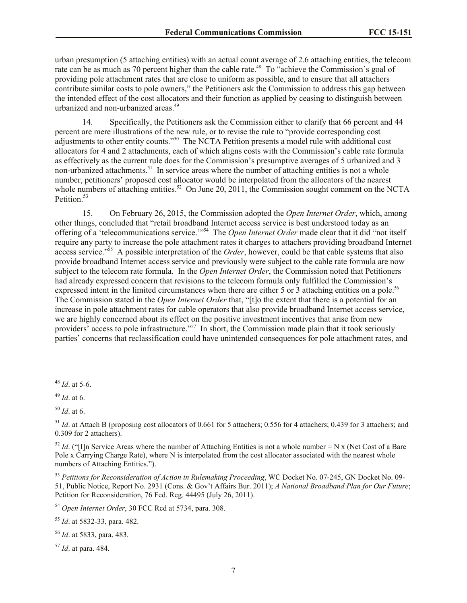urban presumption (5 attaching entities) with an actual count average of 2.6 attaching entities, the telecom rate can be as much as 70 percent higher than the cable rate.<sup>48</sup> To "achieve the Commission's goal of providing pole attachment rates that are close to uniform as possible, and to ensure that all attachers contribute similar costs to pole owners," the Petitioners ask the Commission to address this gap between the intended effect of the cost allocators and their function as applied by ceasing to distinguish between urbanized and non-urbanized areas.<sup>49</sup>

14. Specifically, the Petitioners ask the Commission either to clarify that 66 percent and 44 percent are mere illustrations of the new rule, or to revise the rule to "provide corresponding cost adjustments to other entity counts."<sup>50</sup> The NCTA Petition presents a model rule with additional cost allocators for 4 and 2 attachments, each of which aligns costs with the Commission's cable rate formula as effectively as the current rule does for the Commission's presumptive averages of 5 urbanized and 3 non-urbanized attachments.<sup>51</sup> In service areas where the number of attaching entities is not a whole number, petitioners' proposed cost allocator would be interpolated from the allocators of the nearest whole numbers of attaching entities.<sup>52</sup> On June 20, 2011, the Commission sought comment on the NCTA Petition.<sup>53</sup>

15. On February 26, 2015, the Commission adopted the *Open Internet Order*, which, among other things, concluded that "retail broadband Internet access service is best understood today as an offering of a 'telecommunications service.'"<sup>54</sup> The *Open Internet Order* made clear that it did "not itself require any party to increase the pole attachment rates it charges to attachers providing broadband Internet access service."<sup>55</sup> A possible interpretation of the *Order*, however, could be that cable systems that also provide broadband Internet access service and previously were subject to the cable rate formula are now subject to the telecom rate formula. In the *Open Internet Order*, the Commission noted that Petitioners had already expressed concern that revisions to the telecom formula only fulfilled the Commission's expressed intent in the limited circumstances when there are either 5 or 3 attaching entities on a pole.<sup>56</sup> The Commission stated in the *Open Internet Order* that, "[t]o the extent that there is a potential for an increase in pole attachment rates for cable operators that also provide broadband Internet access service, we are highly concerned about its effect on the positive investment incentives that arise from new providers' access to pole infrastructure."<sup>57</sup> In short, the Commission made plain that it took seriously parties' concerns that reclassification could have unintended consequences for pole attachment rates, and

 $\overline{\phantom{a}}$ 

<sup>55</sup> *Id*. at 5832-33, para. 482.

<sup>57</sup> *Id*. at para. 484.

<sup>48</sup> *Id*. at 5-6.

<sup>49</sup> *Id*. at 6.

<sup>50</sup> *Id*. at 6.

<sup>&</sup>lt;sup>51</sup> *Id.* at Attach B (proposing cost allocators of 0.661 for 5 attachers; 0.556 for 4 attachers; 0.439 for 3 attachers; and 0.309 for 2 attachers).

 $52$  *Id.* ("[I]n Service Areas where the number of Attaching Entities is not a whole number = N x (Net Cost of a Bare) Pole x Carrying Charge Rate), where N is interpolated from the cost allocator associated with the nearest whole numbers of Attaching Entities.").

<sup>53</sup> *Petitions for Reconsideration of Action in Rulemaking Proceeding*, WC Docket No. 07-245, GN Docket No. 09- 51, Public Notice, Report No. 2931 (Cons. & Gov't Affairs Bur. 2011); *A National Broadband Plan for Our Future*; Petition for Reconsideration, 76 Fed. Reg. 44495 (July 26, 2011).

<sup>54</sup> *Open Internet Order*, 30 FCC Rcd at 5734, para. 308.

<sup>56</sup> *Id*. at 5833, para. 483.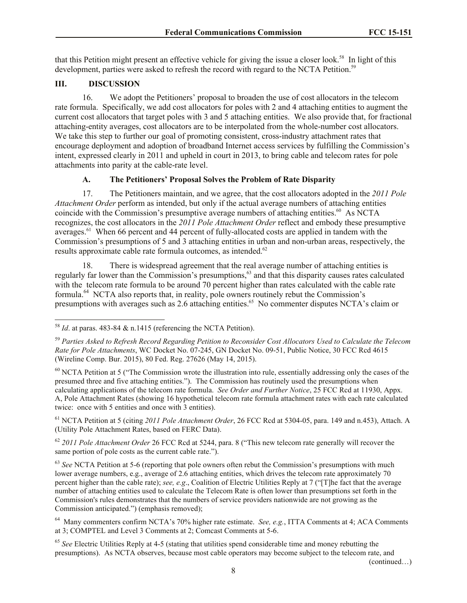that this Petition might present an effective vehicle for giving the issue a closer look.<sup>58</sup> In light of this development, parties were asked to refresh the record with regard to the NCTA Petition.<sup>59</sup>

### **III. DISCUSSION**

l

16. We adopt the Petitioners' proposal to broaden the use of cost allocators in the telecom rate formula. Specifically, we add cost allocators for poles with 2 and 4 attaching entities to augment the current cost allocators that target poles with 3 and 5 attaching entities. We also provide that, for fractional attaching-entity averages, cost allocators are to be interpolated from the whole-number cost allocators. We take this step to further our goal of promoting consistent, cross-industry attachment rates that encourage deployment and adoption of broadband Internet access services by fulfilling the Commission's intent, expressed clearly in 2011 and upheld in court in 2013, to bring cable and telecom rates for pole attachments into parity at the cable-rate level.

## **A. The Petitioners' Proposal Solves the Problem of Rate Disparity**

17. The Petitioners maintain, and we agree, that the cost allocators adopted in the *2011 Pole Attachment Order* perform as intended, but only if the actual average numbers of attaching entities coincide with the Commission's presumptive average numbers of attaching entities. $^{60}$  As NCTA recognizes, the cost allocators in the *2011 Pole Attachment Order* reflect and embody these presumptive averages.<sup>61</sup> When 66 percent and 44 percent of fully-allocated costs are applied in tandem with the Commission's presumptions of 5 and 3 attaching entities in urban and non-urban areas, respectively, the results approximate cable rate formula outcomes, as intended.<sup>62</sup>

18. There is widespread agreement that the real average number of attaching entities is regularly far lower than the Commission's presumptions,<sup>63</sup> and that this disparity causes rates calculated with the telecom rate formula to be around 70 percent higher than rates calculated with the cable rate formula.<sup>64</sup> NCTA also reports that, in reality, pole owners routinely rebut the Commission's presumptions with averages such as 2.6 attaching entities.<sup>65</sup> No commenter disputes NCTA's claim or

<sup>61</sup> NCTA Petition at 5 (citing *2011 Pole Attachment Order*, 26 FCC Rcd at 5304-05, para. 149 and n.453), Attach. A (Utility Pole Attachment Rates, based on FERC Data).

<sup>62</sup> *2011 Pole Attachment Order* 26 FCC Rcd at 5244, para. 8 ("This new telecom rate generally will recover the same portion of pole costs as the current cable rate.").

<sup>63</sup> See NCTA Petition at 5-6 (reporting that pole owners often rebut the Commission's presumptions with much lower average numbers, e.g., average of 2.6 attaching entities, which drives the telecom rate approximately 70 percent higher than the cable rate); *see, e.g*., Coalition of Electric Utilities Reply at 7 ("[T]he fact that the average number of attaching entities used to calculate the Telecom Rate is often lower than presumptions set forth in the Commission's rules demonstrates that the numbers of service providers nationwide are not growing as the Commission anticipated.") (emphasis removed);

64 Many commenters confirm NCTA's 70% higher rate estimate. *See, e.g.*, ITTA Comments at 4; ACA Comments at 3; COMPTEL and Level 3 Comments at 2; Comcast Comments at 5-6.

(continued…)

<sup>58</sup> *Id*. at paras. 483-84 & n.1415 (referencing the NCTA Petition).

<sup>59</sup> *Parties Asked to Refresh Record Regarding Petition to Reconsider Cost Allocators Used to Calculate the Telecom Rate for Pole Attachments*, WC Docket No. 07-245, GN Docket No. 09-51, Public Notice, 30 FCC Rcd 4615 (Wireline Comp. Bur. 2015), 80 Fed. Reg. 27626 (May 14, 2015).

 $60$  NCTA Petition at 5 ("The Commission wrote the illustration into rule, essentially addressing only the cases of the presumed three and five attaching entities."). The Commission has routinely used the presumptions when calculating applications of the telecom rate formula. *See Order and Further Notice*, 25 FCC Rcd at 11930, Appx. A, Pole Attachment Rates (showing 16 hypothetical telecom rate formula attachment rates with each rate calculated twice: once with 5 entities and once with 3 entities).

<sup>&</sup>lt;sup>65</sup> See Electric Utilities Reply at 4-5 (stating that utilities spend considerable time and money rebutting the presumptions). As NCTA observes, because most cable operators may become subject to the telecom rate, and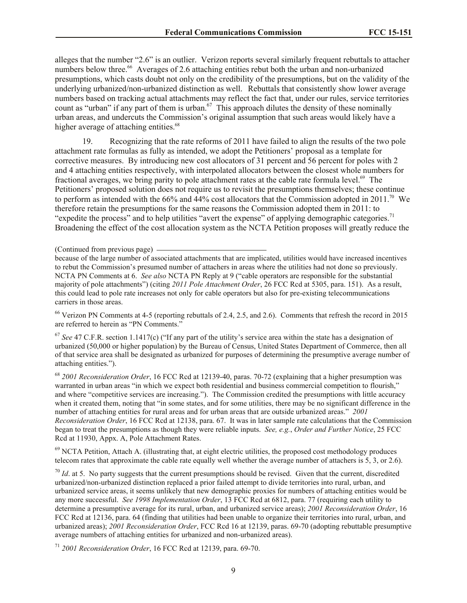alleges that the number "2.6" is an outlier. Verizon reports several similarly frequent rebuttals to attacher numbers below three.<sup>66</sup> Averages of 2.6 attaching entities rebut both the urban and non-urbanized presumptions, which casts doubt not only on the credibility of the presumptions, but on the validity of the underlying urbanized/non-urbanized distinction as well. Rebuttals that consistently show lower average numbers based on tracking actual attachments may reflect the fact that, under our rules, service territories count as "urban" if any part of them is urban.<sup>67</sup> This approach dilutes the density of these nominally urban areas, and undercuts the Commission's original assumption that such areas would likely have a higher average of attaching entities.<sup>68</sup>

19. Recognizing that the rate reforms of 2011 have failed to align the results of the two pole attachment rate formulas as fully as intended, we adopt the Petitioners' proposal as a template for corrective measures. By introducing new cost allocators of 31 percent and 56 percent for poles with 2 and 4 attaching entities respectively, with interpolated allocators between the closest whole numbers for fractional averages, we bring parity to pole attachment rates at the cable rate formula level.<sup>69</sup> The Petitioners' proposed solution does not require us to revisit the presumptions themselves; these continue to perform as intended with the 66% and 44% cost allocators that the Commission adopted in 2011.<sup>70</sup> We therefore retain the presumptions for the same reasons the Commission adopted them in 2011: to "expedite the process" and to help utilities "avert the expense" of applying demographic categories.<sup>71</sup> Broadening the effect of the cost allocation system as the NCTA Petition proposes will greatly reduce the

(Continued from previous page)

because of the large number of associated attachments that are implicated, utilities would have increased incentives to rebut the Commission's presumed number of attachers in areas where the utilities had not done so previously. NCTA PN Comments at 6. *See also* NCTA PN Reply at 9 ("cable operators are responsible for the substantial majority of pole attachments") (citing *2011 Pole Attachment Order*, 26 FCC Rcd at 5305, para. 151). As a result, this could lead to pole rate increases not only for cable operators but also for pre-existing telecommunications carriers in those areas.

<sup>66</sup> Verizon PN Comments at 4-5 (reporting rebuttals of 2.4, 2.5, and 2.6). Comments that refresh the record in 2015 are referred to herein as "PN Comments."

<sup>67</sup> *See* 47 C.F.R. section 1.1417(c) ("If any part of the utility's service area within the state has a designation of urbanized (50,000 or higher population) by the Bureau of Census, United States Department of Commerce, then all of that service area shall be designated as urbanized for purposes of determining the presumptive average number of attaching entities.").

<sup>68</sup> *2001 Reconsideration Order*, 16 FCC Rcd at 12139-40, paras. 70-72 (explaining that a higher presumption was warranted in urban areas "in which we expect both residential and business commercial competition to flourish," and where "competitive services are increasing."). The Commission credited the presumptions with little accuracy when it created them, noting that "in some states, and for some utilities, there may be no significant difference in the number of attaching entities for rural areas and for urban areas that are outside urbanized areas." *2001 Reconsideration Order*, 16 FCC Rcd at 12138, para. 67. It was in later sample rate calculations that the Commission began to treat the presumptions as though they were reliable inputs. *See, e.g.*, *Order and Further Notice*, 25 FCC Rcd at 11930, Appx. A, Pole Attachment Rates.

<sup>69</sup> NCTA Petition, Attach A. (illustrating that, at eight electric utilities, the proposed cost methodology produces telecom rates that approximate the cable rate equally well whether the average number of attachers is 5, 3, or 2.6).

 $\frac{70}{1}$  *Id.* at 5. No party suggests that the current presumptions should be revised. Given that the current, discredited urbanized/non-urbanized distinction replaced a prior failed attempt to divide territories into rural, urban, and urbanized service areas, it seems unlikely that new demographic proxies for numbers of attaching entities would be any more successful. *See 1998 Implementation Order*, 13 FCC Rcd at 6812, para. 77 (requiring each utility to determine a presumptive average for its rural, urban, and urbanized service areas); *2001 Reconsideration Order*, 16 FCC Rcd at 12136, para. 64 (finding that utilities had been unable to organize their territories into rural, urban, and urbanized areas); *2001 Reconsideration Order*, FCC Rcd 16 at 12139, paras. 69-70 (adopting rebuttable presumptive average numbers of attaching entities for urbanized and non-urbanized areas).

<sup>71</sup> *2001 Reconsideration Order*, 16 FCC Rcd at 12139, para. 69-70.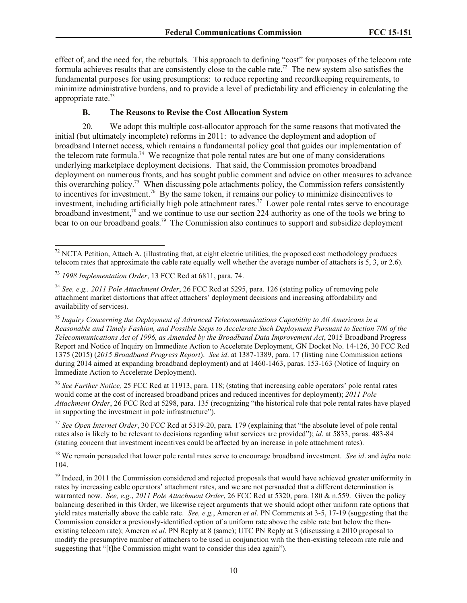effect of, and the need for, the rebuttals. This approach to defining "cost" for purposes of the telecom rate formula achieves results that are consistently close to the cable rate.<sup>72</sup> The new system also satisfies the fundamental purposes for using presumptions: to reduce reporting and recordkeeping requirements, to minimize administrative burdens, and to provide a level of predictability and efficiency in calculating the appropriate rate.<sup>73</sup>

### **B. The Reasons to Revise the Cost Allocation System**

20. We adopt this multiple cost-allocator approach for the same reasons that motivated the initial (but ultimately incomplete) reforms in 2011: to advance the deployment and adoption of broadband Internet access, which remains a fundamental policy goal that guides our implementation of the telecom rate formula.<sup>74</sup> We recognize that pole rental rates are but one of many considerations underlying marketplace deployment decisions. That said, the Commission promotes broadband deployment on numerous fronts, and has sought public comment and advice on other measures to advance this overarching policy.<sup>75</sup> When discussing pole attachments policy, the Commission refers consistently to incentives for investment.<sup>76</sup> By the same token, it remains our policy to minimize disincentives to investment, including artificially high pole attachment rates.<sup>77</sup> Lower pole rental rates serve to encourage broadband investment,<sup>78</sup> and we continue to use our section 224 authority as one of the tools we bring to bear to on our broadband goals.<sup>79</sup> The Commission also continues to support and subsidize deployment

l

<sup>76</sup> *See Further Notice,* 25 FCC Rcd at 11913, para. 118; (stating that increasing cable operators' pole rental rates would come at the cost of increased broadband prices and reduced incentives for deployment); *2011 Pole Attachment Order*, 26 FCC Rcd at 5298, para. 135 (recognizing "the historical role that pole rental rates have played in supporting the investment in pole infrastructure").

<sup>77</sup> *See Open Internet Order*, 30 FCC Rcd at 5319-20, para. 179 (explaining that "the absolute level of pole rental rates also is likely to be relevant to decisions regarding what services are provided"); *id*. at 5833, paras. 483-84 (stating concern that investment incentives could be affected by an increase in pole attachment rates).

<sup>78</sup> We remain persuaded that lower pole rental rates serve to encourage broadband investment. *See id*. and *infra* note 104.

 $79$  Indeed, in 2011 the Commission considered and rejected proposals that would have achieved greater uniformity in rates by increasing cable operators' attachment rates, and we are not persuaded that a different determination is warranted now. *See, e.g.*, *2011 Pole Attachment Order*, 26 FCC Rcd at 5320, para. 180 & n.559. Given the policy balancing described in this Order, we likewise reject arguments that we should adopt other uniform rate options that yield rates materially above the cable rate. *See, e.g.*, Ameren *et al.* PN Comments at 3-5, 17-19 (suggesting that the Commission consider a previously-identified option of a uniform rate above the cable rate but below the thenexisting telecom rate); Ameren *et al*. PN Reply at 8 (same); UTC PN Reply at 3 (discussing a 2010 proposal to modify the presumptive number of attachers to be used in conjunction with the then-existing telecom rate rule and suggesting that "[t]he Commission might want to consider this idea again").

 $72$  NCTA Petition, Attach A. (illustrating that, at eight electric utilities, the proposed cost methodology produces telecom rates that approximate the cable rate equally well whether the average number of attachers is 5, 3, or 2.6).

<sup>73</sup> *1998 Implementation Order*, 13 FCC Rcd at 6811, para. 74.

<sup>74</sup> *See, e.g., 2011 Pole Attachment Order*, 26 FCC Rcd at 5295, para. 126 (stating policy of removing pole attachment market distortions that affect attachers' deployment decisions and increasing affordability and availability of services).

<sup>75</sup> *Inquiry Concerning the Deployment of Advanced Telecommunications Capability to All Americans in a Reasonable and Timely Fashion, and Possible Steps to Accelerate Such Deployment Pursuant to Section 706 of the Telecommunications Act of 1996, as Amended by the Broadband Data Improvement Act*, 2015 Broadband Progress Report and Notice of Inquiry on Immediate Action to Accelerate Deployment, GN Docket No. 14-126, 30 FCC Rcd 1375 (2015) (*2015 Broadband Progress Report*). *See id*. at 1387-1389, para. 17 (listing nine Commission actions during 2014 aimed at expanding broadband deployment) and at 1460-1463, paras. 153-163 (Notice of Inquiry on Immediate Action to Accelerate Deployment).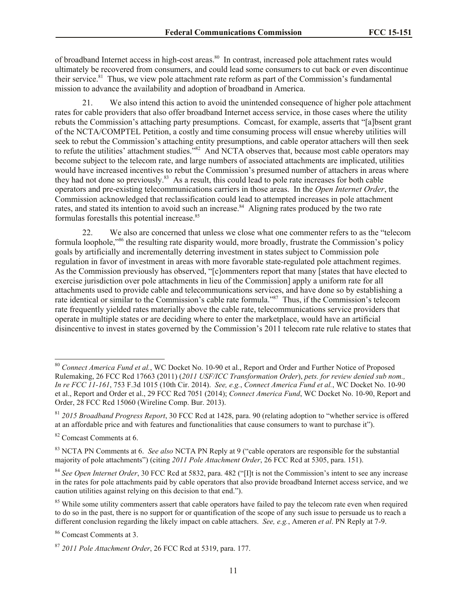of broadband Internet access in high-cost areas.<sup>80</sup> In contrast, increased pole attachment rates would ultimately be recovered from consumers, and could lead some consumers to cut back or even discontinue their service.<sup>81</sup> Thus, we view pole attachment rate reform as part of the Commission's fundamental mission to advance the availability and adoption of broadband in America.

21. We also intend this action to avoid the unintended consequence of higher pole attachment rates for cable providers that also offer broadband Internet access service, in those cases where the utility rebuts the Commission's attaching party presumptions. Comcast, for example, asserts that "[a]bsent grant of the NCTA/COMPTEL Petition, a costly and time consuming process will ensue whereby utilities will seek to rebut the Commission's attaching entity presumptions, and cable operator attachers will then seek to refute the utilities' attachment studies.<sup>382</sup> And NCTA observes that, because most cable operators may become subject to the telecom rate, and large numbers of associated attachments are implicated, utilities would have increased incentives to rebut the Commission's presumed number of attachers in areas where they had not done so previously.<sup>83</sup> As a result, this could lead to pole rate increases for both cable operators and pre-existing telecommunications carriers in those areas. In the *Open Internet Order*, the Commission acknowledged that reclassification could lead to attempted increases in pole attachment rates, and stated its intention to avoid such an increase.<sup>84</sup> Aligning rates produced by the two rate formulas forestalls this potential increase.<sup>85</sup>

22. We also are concerned that unless we close what one commenter refers to as the "telecom formula loophole,"<sup>86</sup> the resulting rate disparity would, more broadly, frustrate the Commission's policy goals by artificially and incrementally deterring investment in states subject to Commission pole regulation in favor of investment in areas with more favorable state-regulated pole attachment regimes. As the Commission previously has observed, "[c]ommenters report that many [states that have elected to exercise jurisdiction over pole attachments in lieu of the Commission] apply a uniform rate for all attachments used to provide cable and telecommunications services, and have done so by establishing a rate identical or similar to the Commission's cable rate formula."<sup>87</sup> Thus, if the Commission's telecom rate frequently yielded rates materially above the cable rate, telecommunications service providers that operate in multiple states or are deciding where to enter the marketplace, would have an artificial disincentive to invest in states governed by the Commission's 2011 telecom rate rule relative to states that

 $\overline{\phantom{a}}$ 

<sup>80</sup> *Connect America Fund et al.*, WC Docket No. 10-90 et al., Report and Order and Further Notice of Proposed Rulemaking, 26 FCC Rcd 17663 (2011) (*2011 USF/ICC Transformation Order*), *pets. for review denied sub nom., In re FCC 11-161*, 753 F.3d 1015 (10th Cir. 2014). *See, e.g.*, *Connect America Fund et al.*, WC Docket No. 10-90 et al., Report and Order et al., 29 FCC Rcd 7051 (2014); *Connect America Fund*, WC Docket No. 10-90, Report and Order, 28 FCC Rcd 15060 (Wireline Comp. Bur. 2013).

<sup>81</sup> *2015 Broadband Progress Report*, 30 FCC Rcd at 1428, para. 90 (relating adoption to "whether service is offered at an affordable price and with features and functionalities that cause consumers to want to purchase it").

<sup>82</sup> Comcast Comments at 6.

<sup>83</sup> NCTA PN Comments at 6. *See also* NCTA PN Reply at 9 ("cable operators are responsible for the substantial majority of pole attachments") (citing *2011 Pole Attachment Order*, 26 FCC Rcd at 5305, para. 151).

<sup>84</sup> *See Open Internet Order*, 30 FCC Rcd at 5832, para. 482 ("[I]t is not the Commission's intent to see any increase in the rates for pole attachments paid by cable operators that also provide broadband Internet access service, and we caution utilities against relying on this decision to that end.").

<sup>&</sup>lt;sup>85</sup> While some utility commenters assert that cable operators have failed to pay the telecom rate even when required to do so in the past, there is no support for or quantification of the scope of any such issue to persuade us to reach a different conclusion regarding the likely impact on cable attachers. *See, e.g.*, Ameren *et al*. PN Reply at 7-9.

<sup>86</sup> Comcast Comments at 3.

<sup>87</sup> *2011 Pole Attachment Order*, 26 FCC Rcd at 5319, para. 177.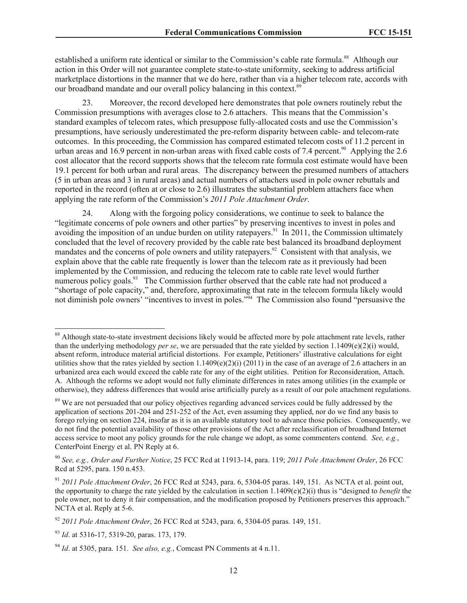established a uniform rate identical or similar to the Commission's cable rate formula.<sup>88</sup> Although our action in this Order will not guarantee complete state-to-state uniformity, seeking to address artificial marketplace distortions in the manner that we do here, rather than via a higher telecom rate, accords with our broadband mandate and our overall policy balancing in this context.<sup>89</sup>

23. Moreover, the record developed here demonstrates that pole owners routinely rebut the Commission presumptions with averages close to 2.6 attachers. This means that the Commission's standard examples of telecom rates, which presuppose fully-allocated costs and use the Commission's presumptions, have seriously underestimated the pre-reform disparity between cable- and telecom-rate outcomes. In this proceeding, the Commission has compared estimated telecom costs of 11.2 percent in urban areas and 16.9 percent in non-urban areas with fixed cable costs of 7.4 percent.<sup>90</sup> Applying the 2.6 cost allocator that the record supports shows that the telecom rate formula cost estimate would have been 19.1 percent for both urban and rural areas. The discrepancy between the presumed numbers of attachers (5 in urban areas and 3 in rural areas) and actual numbers of attachers used in pole owner rebuttals and reported in the record (often at or close to 2.6) illustrates the substantial problem attachers face when applying the rate reform of the Commission's *2011 Pole Attachment Order*.

24. Along with the forgoing policy considerations, we continue to seek to balance the "legitimate concerns of pole owners and other parties" by preserving incentives to invest in poles and avoiding the imposition of an undue burden on utility ratepayers.<sup>91</sup> In 2011, the Commission ultimately concluded that the level of recovery provided by the cable rate best balanced its broadband deployment mandates and the concerns of pole owners and utility ratepayers.<sup>92</sup> Consistent with that analysis, we explain above that the cable rate frequently is lower than the telecom rate as it previously had been implemented by the Commission, and reducing the telecom rate to cable rate level would further numerous policy goals.<sup>93</sup> The Commission further observed that the cable rate had not produced a "shortage of pole capacity," and, therefore, approximating that rate in the telecom formula likely would not diminish pole owners' "incentives to invest in poles."<sup>94</sup> The Commission also found "persuasive the

l

<sup>&</sup>lt;sup>88</sup> Although state-to-state investment decisions likely would be affected more by pole attachment rate levels, rather than the underlying methodology *per se*, we are persuaded that the rate yielded by section 1.1409(e)(2)(i) would, absent reform, introduce material artificial distortions. For example, Petitioners' illustrative calculations for eight utilities show that the rates yielded by section  $1.1409(e)(2)(i)$  (2011) in the case of an average of 2.6 attachers in an urbanized area each would exceed the cable rate for any of the eight utilities. Petition for Reconsideration, Attach. A. Although the reforms we adopt would not fully eliminate differences in rates among utilities (in the example or otherwise), they address differences that would arise artificially purely as a result of our pole attachment regulations.

<sup>&</sup>lt;sup>89</sup> We are not persuaded that our policy objectives regarding advanced services could be fully addressed by the application of sections 201-204 and 251-252 of the Act, even assuming they applied, nor do we find any basis to forego relying on section 224, insofar as it is an available statutory tool to advance those policies. Consequently, we do not find the potential availability of those other provisions of the Act after reclassification of broadband Internet access service to moot any policy grounds for the rule change we adopt, as some commenters contend. *See, e.g.*, CenterPoint Energy et al. PN Reply at 6.

<sup>90</sup> *See, e.g., Order and Further Notice*, 25 FCC Rcd at 11913-14, para. 119; *2011 Pole Attachment Order*, 26 FCC Rcd at 5295, para. 150 n.453.

<sup>91</sup> *2011 Pole Attachment Order*, 26 FCC Rcd at 5243, para. 6, 5304-05 paras. 149, 151. As NCTA et al. point out, the opportunity to charge the rate yielded by the calculation in section 1.1409(e)(2)(i) thus is "designed to *benefit* the pole owner, not to deny it fair compensation, and the modification proposed by Petitioners preserves this approach." NCTA et al. Reply at 5-6.

<sup>92</sup> *2011 Pole Attachment Order*, 26 FCC Rcd at 5243, para. 6, 5304-05 paras. 149, 151.

<sup>93</sup> *Id*. at 5316-17, 5319-20, paras. 173, 179.

<sup>94</sup> *Id*. at 5305, para. 151. *See also, e.g.*, Comcast PN Comments at 4 n.11.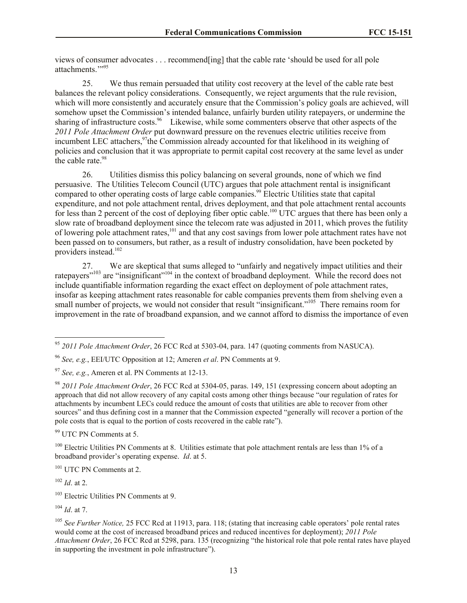views of consumer advocates . . . recommend[ing] that the cable rate 'should be used for all pole attachments.'"<sup>95</sup>

25. We thus remain persuaded that utility cost recovery at the level of the cable rate best balances the relevant policy considerations. Consequently, we reject arguments that the rule revision, which will more consistently and accurately ensure that the Commission's policy goals are achieved, will somehow upset the Commission's intended balance, unfairly burden utility ratepayers, or undermine the sharing of infrastructure costs.<sup>96</sup> Likewise, while some commenters observe that other aspects of the *2011 Pole Attachment Order* put downward pressure on the revenues electric utilities receive from incumbent LEC attachers,<sup>97</sup>the Commission already accounted for that likelihood in its weighing of policies and conclusion that it was appropriate to permit capital cost recovery at the same level as under the cable rate  $98$ 

26. Utilities dismiss this policy balancing on several grounds, none of which we find persuasive. The Utilities Telecom Council (UTC) argues that pole attachment rental is insignificant compared to other operating costs of large cable companies.<sup>99</sup> Electric Utilities state that capital expenditure, and not pole attachment rental, drives deployment, and that pole attachment rental accounts for less than 2 percent of the cost of deploying fiber optic cable.<sup>100</sup> UTC argues that there has been only a slow rate of broadband deployment since the telecom rate was adjusted in 2011, which proves the futility of lowering pole attachment rates,<sup>101</sup> and that any cost savings from lower pole attachment rates have not been passed on to consumers, but rather, as a result of industry consolidation, have been pocketed by providers instead.<sup>102</sup>

27. We are skeptical that sums alleged to "unfairly and negatively impact utilities and their ratepayers"<sup>103</sup> are "insignificant"<sup>104</sup> in the context of broadband deployment. While the record does not include quantifiable information regarding the exact effect on deployment of pole attachment rates, insofar as keeping attachment rates reasonable for cable companies prevents them from shelving even a small number of projects, we would not consider that result "insignificant."<sup>105</sup> There remains room for improvement in the rate of broadband expansion, and we cannot afford to dismiss the importance of even

<sup>99</sup> UTC PN Comments at 5.

<sup>100</sup> Electric Utilities PN Comments at 8. Utilities estimate that pole attachment rentals are less than 1% of a broadband provider's operating expense. *Id*. at 5.

<sup>101</sup> UTC PN Comments at 2.

<sup>102</sup> *Id*. at 2.

 $\overline{\phantom{a}}$ 

<sup>103</sup> Electric Utilities PN Comments at 9.

<sup>104</sup> *Id*. at 7.

<sup>95</sup> *2011 Pole Attachment Order*, 26 FCC Rcd at 5303-04, para. 147 (quoting comments from NASUCA).

<sup>96</sup> *See, e.g.*, EEI/UTC Opposition at 12; Ameren *et al*. PN Comments at 9.

<sup>97</sup> *See, e.g.*, Ameren et al. PN Comments at 12-13.

<sup>98</sup> *2011 Pole Attachment Order*, 26 FCC Rcd at 5304-05, paras. 149, 151 (expressing concern about adopting an approach that did not allow recovery of any capital costs among other things because "our regulation of rates for attachments by incumbent LECs could reduce the amount of costs that utilities are able to recover from other sources" and thus defining cost in a manner that the Commission expected "generally will recover a portion of the pole costs that is equal to the portion of costs recovered in the cable rate").

<sup>105</sup> *See Further Notice,* 25 FCC Rcd at 11913, para. 118; (stating that increasing cable operators' pole rental rates would come at the cost of increased broadband prices and reduced incentives for deployment); *2011 Pole Attachment Order*, 26 FCC Rcd at 5298, para. 135 (recognizing "the historical role that pole rental rates have played in supporting the investment in pole infrastructure").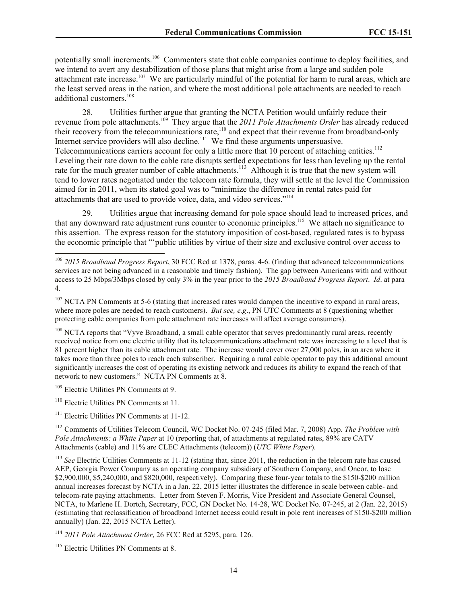potentially small increments.<sup>106</sup> Commenters state that cable companies continue to deploy facilities, and we intend to avert any destabilization of those plans that might arise from a large and sudden pole attachment rate increase.<sup>107</sup> We are particularly mindful of the potential for harm to rural areas, which are the least served areas in the nation, and where the most additional pole attachments are needed to reach additional customers.<sup>108</sup>

28. Utilities further argue that granting the NCTA Petition would unfairly reduce their revenue from pole attachments.<sup>109</sup> They argue that the 2011 Pole Attachments Order has already reduced their recovery from the telecommunications rate,<sup>110</sup> and expect that their revenue from broadband-only Internet service providers will also decline.<sup>111</sup> We find these arguments unpersuasive. Telecommunications carriers account for only a little more that 10 percent of attaching entities.<sup>112</sup> Leveling their rate down to the cable rate disrupts settled expectations far less than leveling up the rental rate for the much greater number of cable attachments.<sup>113</sup> Although it is true that the new system will tend to lower rates negotiated under the telecom rate formula, they will settle at the level the Commission aimed for in 2011, when its stated goal was to "minimize the difference in rental rates paid for attachments that are used to provide voice, data, and video services."<sup>114</sup>

29. Utilities argue that increasing demand for pole space should lead to increased prices, and that any downward rate adjustment runs counter to economic principles.<sup>115</sup> We attach no significance to this assertion. The express reason for the statutory imposition of cost-based, regulated rates is to bypass the economic principle that "'public utilities by virtue of their size and exclusive control over access to

<sup>108</sup> NCTA reports that "Vyve Broadband, a small cable operator that serves predominantly rural areas, recently received notice from one electric utility that its telecommunications attachment rate was increasing to a level that is 81 percent higher than its cable attachment rate. The increase would cover over 27,000 poles, in an area where it takes more than three poles to reach each subscriber. Requiring a rural cable operator to pay this additional amount significantly increases the cost of operating its existing network and reduces its ability to expand the reach of that network to new customers." NCTA PN Comments at 8.

<sup>109</sup> Electric Utilities PN Comments at 9.

 $\overline{a}$ 

<sup>110</sup> Electric Utilities PN Comments at 11.

<sup>111</sup> Electric Utilities PN Comments at 11-12.

<sup>112</sup> Comments of Utilities Telecom Council, WC Docket No. 07-245 (filed Mar. 7, 2008) App. *The Problem with Pole Attachments: a White Paper* at 10 (reporting that, of attachments at regulated rates, 89% are CATV Attachments (cable) and 11% are CLEC Attachments (telecom)) (*UTC White Paper*).

<sup>106</sup> *2015 Broadband Progress Report*, 30 FCC Rcd at 1378, paras. 4-6. (finding that advanced telecommunications services are not being advanced in a reasonable and timely fashion). The gap between Americans with and without access to 25 Mbps/3Mbps closed by only 3% in the year prior to the *2015 Broadband Progress Report*. *Id*. at para 4.

<sup>&</sup>lt;sup>107</sup> NCTA PN Comments at 5-6 (stating that increased rates would dampen the incentive to expand in rural areas, where more poles are needed to reach customers). *But see, e.g*., PN UTC Comments at 8 (questioning whether protecting cable companies from pole attachment rate increases will affect average consumers).

<sup>&</sup>lt;sup>113</sup> See Electric Utilities Comments at 11-12 (stating that, since 2011, the reduction in the telecom rate has caused AEP, Georgia Power Company as an operating company subsidiary of Southern Company, and Oncor, to lose \$2,900,000, \$5,240,000, and \$820,000, respectively). Comparing these four-year totals to the \$150-\$200 million annual increases forecast by NCTA in a Jan. 22, 2015 letter illustrates the difference in scale between cable- and telecom-rate paying attachments. Letter from Steven F. Morris, Vice President and Associate General Counsel, NCTA, to Marlene H. Dortch, Secretary, FCC, GN Docket No. 14-28, WC Docket No. 07-245, at 2 (Jan. 22, 2015) (estimating that reclassification of broadband Internet access could result in pole rent increases of \$150-\$200 million annually) (Jan. 22, 2015 NCTA Letter).

<sup>114</sup> *2011 Pole Attachment Order*, 26 FCC Rcd at 5295, para. 126.

<sup>&</sup>lt;sup>115</sup> Electric Utilities PN Comments at 8.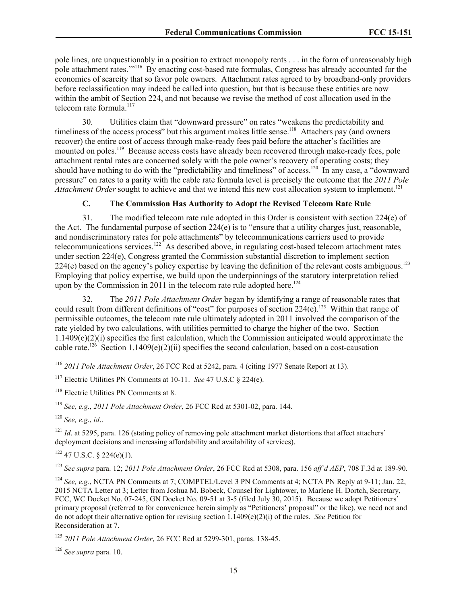pole lines, are unquestionably in a position to extract monopoly rents . . . in the form of unreasonably high pole attachment rates."<sup>116</sup> By enacting cost-based rate formulas, Congress has already accounted for the economics of scarcity that so favor pole owners. Attachment rates agreed to by broadband-only providers before reclassification may indeed be called into question, but that is because these entities are now within the ambit of Section 224, and not because we revise the method of cost allocation used in the telecom rate formula. $117$ 

30. Utilities claim that "downward pressure" on rates "weakens the predictability and timeliness of the access process" but this argument makes little sense.<sup>118</sup> Attachers pay (and owners recover) the entire cost of access through make-ready fees paid before the attacher's facilities are mounted on poles.<sup>119</sup> Because access costs have already been recovered through make-ready fees, pole attachment rental rates are concerned solely with the pole owner's recovery of operating costs; they should have nothing to do with the "predictability and timeliness" of access.<sup>120</sup> In any case, a "downward pressure" on rates to a parity with the cable rate formula level is precisely the outcome that the *2011 Pole Attachment Order* sought to achieve and that we intend this new cost allocation system to implement.<sup>121</sup>

# **C. The Commission Has Authority to Adopt the Revised Telecom Rate Rule**

31. The modified telecom rate rule adopted in this Order is consistent with section 224(e) of the Act. The fundamental purpose of section  $224(e)$  is to "ensure that a utility charges just, reasonable, and nondiscriminatory rates for pole attachments" by telecommunications carriers used to provide telecommunications services.<sup>122</sup> As described above, in regulating cost-based telecom attachment rates under section 224(e), Congress granted the Commission substantial discretion to implement section 224(e) based on the agency's policy expertise by leaving the definition of the relevant costs ambiguous.<sup>123</sup> Employing that policy expertise, we build upon the underpinnings of the statutory interpretation relied upon by the Commission in 2011 in the telecom rate rule adopted here.<sup>124</sup>

32. The *2011 Pole Attachment Order* began by identifying a range of reasonable rates that could result from different definitions of "cost" for purposes of section  $224(e)$ .<sup>125</sup> Within that range of permissible outcomes, the telecom rate rule ultimately adopted in 2011 involved the comparison of the rate yielded by two calculations, with utilities permitted to charge the higher of the two. Section 1.1409(e)(2)(i) specifies the first calculation, which the Commission anticipated would approximate the cable rate.<sup>126</sup> Section 1.1409(e)(2)(ii) specifies the second calculation, based on a cost-causation

<sup>116</sup> *2011 Pole Attachment Order*, 26 FCC Rcd at 5242, para. 4 (citing 1977 Senate Report at 13).

<sup>117</sup> Electric Utilities PN Comments at 10-11. *See* 47 U.S.C § 224(e).

<sup>118</sup> Electric Utilities PN Comments at 8.

<sup>119</sup> *See, e.g*., *2011 Pole Attachment Order*, 26 FCC Rcd at 5301-02, para. 144.

<sup>120</sup> *See, e.g*., *id*..

 $\overline{a}$ 

<sup>121</sup> *Id.* at 5295, para. 126 (stating policy of removing pole attachment market distortions that affect attachers' deployment decisions and increasing affordability and availability of services).

 $122$  47 U.S.C. § 224(e)(1).

<sup>123</sup> *See supra* para. 12; *2011 Pole Attachment Order*, 26 FCC Rcd at 5308, para. 156 *aff'd AEP*, 708 F.3d at 189-90.

<sup>124</sup> *See, e.g.*, NCTA PN Comments at 7; COMPTEL/Level 3 PN Comments at 4; NCTA PN Reply at 9-11; Jan. 22, 2015 NCTA Letter at 3; Letter from Joshua M. Bobeck, Counsel for Lightower, to Marlene H. Dortch, Secretary, FCC, WC Docket No. 07-245, GN Docket No. 09-51 at 3-5 (filed July 30, 2015). Because we adopt Petitioners' primary proposal (referred to for convenience herein simply as "Petitioners' proposal" or the like), we need not and do not adopt their alternative option for revising section 1.1409(e)(2)(i) of the rules. *See* Petition for Reconsideration at 7.

<sup>125</sup> *2011 Pole Attachment Order*, 26 FCC Rcd at 5299-301, paras. 138-45.

<sup>126</sup> *See supra* para. 10.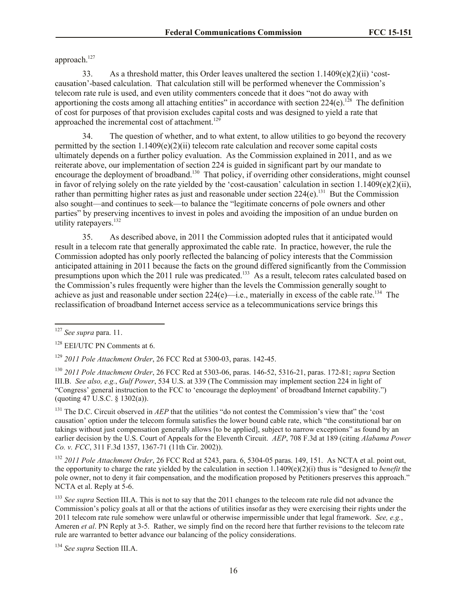approach.<sup>127</sup>

33. As a threshold matter, this Order leaves unaltered the section  $1.1409(e)(2)(ii)$  'costcausation'-based calculation. That calculation still will be performed whenever the Commission's telecom rate rule is used, and even utility commenters concede that it does "not do away with apportioning the costs among all attaching entities" in accordance with section  $224(e)$ .<sup>128</sup> The definition of cost for purposes of that provision excludes capital costs and was designed to yield a rate that approached the incremental cost of attachment.<sup>129</sup>

34. The question of whether, and to what extent, to allow utilities to go beyond the recovery permitted by the section  $1.1409(e)(2)(ii)$  telecom rate calculation and recover some capital costs ultimately depends on a further policy evaluation. As the Commission explained in 2011, and as we reiterate above, our implementation of section 224 is guided in significant part by our mandate to encourage the deployment of broadband.<sup>130</sup> That policy, if overriding other considerations, might counsel in favor of relying solely on the rate yielded by the 'cost-causation' calculation in section  $1.1409(e)(2)(ii)$ , rather than permitting higher rates as just and reasonable under section  $224(e)$ .<sup>131</sup> But the Commission also sought—and continues to seek—to balance the "legitimate concerns of pole owners and other parties" by preserving incentives to invest in poles and avoiding the imposition of an undue burden on utility ratepayers.<sup>132</sup>

35. As described above, in 2011 the Commission adopted rules that it anticipated would result in a telecom rate that generally approximated the cable rate. In practice, however, the rule the Commission adopted has only poorly reflected the balancing of policy interests that the Commission anticipated attaining in 2011 because the facts on the ground differed significantly from the Commission presumptions upon which the 2011 rule was predicated.<sup>133</sup> As a result, telecom rates calculated based on the Commission's rules frequently were higher than the levels the Commission generally sought to achieve as just and reasonable under section  $224(e)$ —i.e., materially in excess of the cable rate.<sup>134</sup> The reclassification of broadband Internet access service as a telecommunications service brings this

 $\overline{a}$ 

<sup>131</sup> The D.C. Circuit observed in *AEP* that the utilities "do not contest the Commission's view that" the 'cost causation' option under the telecom formula satisfies the lower bound cable rate, which "the constitutional bar on takings without just compensation generally allows [to be applied], subject to narrow exceptions" as found by an earlier decision by the U.S. Court of Appeals for the Eleventh Circuit. *AEP*, 708 F.3d at 189 (citing *Alabama Power Co. v. FCC*, 311 F.3d 1357, 1367-71 (11th Cir. 2002)).

<sup>132</sup> *2011 Pole Attachment Order*, 26 FCC Rcd at 5243, para. 6, 5304-05 paras. 149, 151. As NCTA et al. point out, the opportunity to charge the rate yielded by the calculation in section 1.1409(e)(2)(i) thus is "designed to *benefit* the pole owner, not to deny it fair compensation, and the modification proposed by Petitioners preserves this approach." NCTA et al. Reply at 5-6.

<sup>133</sup> *See supra* Section III.A. This is not to say that the 2011 changes to the telecom rate rule did not advance the Commission's policy goals at all or that the actions of utilities insofar as they were exercising their rights under the 2011 telecom rate rule somehow were unlawful or otherwise impermissible under that legal framework. *See, e.g.*, Ameren *et al*. PN Reply at 3-5. Rather, we simply find on the record here that further revisions to the telecom rate rule are warranted to better advance our balancing of the policy considerations.

<sup>134</sup> *See supra* Section III.A.

<sup>127</sup> *See supra* para. 11.

 $128$  EEI/UTC PN Comments at 6.

<sup>129</sup> *2011 Pole Attachment Order*, 26 FCC Rcd at 5300-03, paras. 142-45.

<sup>130</sup> *2011 Pole Attachment Order*, 26 FCC Rcd at 5303-06, paras. 146-52, 5316-21, paras. 172-81; *supra* Section III.B. *See also, e.g.*, *Gulf Power*, 534 U.S. at 339 (The Commission may implement section 224 in light of "Congress' general instruction to the FCC to 'encourage the deployment' of broadband Internet capability.") (quoting 47 U.S.C. § 1302(a)).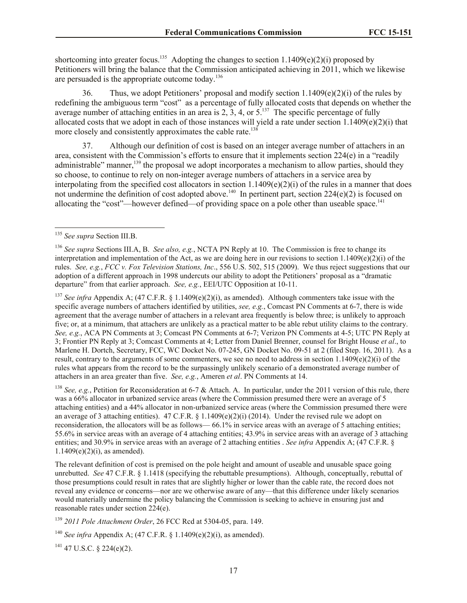shortcoming into greater focus.<sup>135</sup> Adopting the changes to section 1.1409(e)(2)(i) proposed by Petitioners will bring the balance that the Commission anticipated achieving in 2011, which we likewise are persuaded is the appropriate outcome today.<sup>136</sup>

36. Thus, we adopt Petitioners' proposal and modify section  $1.1409(e)(2)(i)$  of the rules by redefining the ambiguous term "cost" as a percentage of fully allocated costs that depends on whether the average number of attaching entities in an area is 2, 3, 4, or  $5^{137}$  The specific percentage of fully allocated costs that we adopt in each of those instances will yield a rate under section  $1.1409(e)(2)(i)$  that more closely and consistently approximates the cable rate.<sup>138</sup>

37. Although our definition of cost is based on an integer average number of attachers in an area, consistent with the Commission's efforts to ensure that it implements section  $224(e)$  in a "readily" administrable" manner,<sup>139</sup> the proposal we adopt incorporates a mechanism to allow parties, should they so choose, to continue to rely on non-integer average numbers of attachers in a service area by interpolating from the specified cost allocators in section 1.1409(e)(2)(i) of the rules in a manner that does not undermine the definition of cost adopted above.<sup>140</sup> In pertinent part, section  $224(e)(2)$  is focused on allocating the "cost"—however defined—of providing space on a pole other than useable space.<sup>141</sup>

 $\overline{\phantom{a}}$ 

<sup>137</sup> *See infra* Appendix A; (47 C.F.R. § 1.1409(e)(2)(i), as amended). Although commenters take issue with the specific average numbers of attachers identified by utilities, *see, e.g.*, Comcast PN Comments at 6-7, there is wide agreement that the average number of attachers in a relevant area frequently is below three; is unlikely to approach five; or, at a minimum, that attachers are unlikely as a practical matter to be able rebut utility claims to the contrary. *See, e.g.*, ACA PN Comments at 3; Comcast PN Comments at 6-7; Verizon PN Comments at 4-5; UTC PN Reply at 3; Frontier PN Reply at 3; Comcast Comments at 4; Letter from Daniel Brenner, counsel for Bright House *et al*., to Marlene H. Dortch, Secretary, FCC, WC Docket No. 07-245, GN Docket No. 09-51 at 2 (filed Step. 16, 2011). As a result, contrary to the arguments of some commenters, we see no need to address in section  $1.1409(e)(2)(i)$  of the rules what appears from the record to be the surpassingly unlikely scenario of a demonstrated average number of attachers in an area greater than five. *See, e.g.*, Ameren *et al*. PN Comments at 14.

<sup>138</sup> *See, e.g.*, Petition for Reconsideration at 6-7 & Attach. A. In particular, under the 2011 version of this rule, there was a 66% allocator in urbanized service areas (where the Commission presumed there were an average of 5 attaching entities) and a 44% allocator in non-urbanized service areas (where the Commission presumed there were an average of 3 attaching entities). 47 C.F.R.  $\S$  1.1409(e)(2)(i) (2014). Under the revised rule we adopt on reconsideration, the allocators will be as follows— 66.1% in service areas with an average of 5 attaching entities; 55.6% in service areas with an average of 4 attaching entities; 43.9% in service areas with an average of 3 attaching entities; and 30.9% in service areas with an average of 2 attaching entities . *See infra* Appendix A; (47 C.F.R. §  $1.1409(e)(2)(i)$ , as amended).

The relevant definition of cost is premised on the pole height and amount of useable and unusable space going unrebutted. *See* 47 C.F.R. § 1.1418 (specifying the rebuttable presumptions). Although, conceptually, rebuttal of those presumptions could result in rates that are slightly higher or lower than the cable rate, the record does not reveal any evidence or concerns—nor are we otherwise aware of any—that this difference under likely scenarios would materially undermine the policy balancing the Commission is seeking to achieve in ensuring just and reasonable rates under section 224(e).

 $141$  47 U.S.C. § 224(e)(2).

<sup>135</sup> *See supra* Section III.B.

<sup>136</sup> *See supra* Sections III.A, B. *See also, e.g.*, NCTA PN Reply at 10. The Commission is free to change its interpretation and implementation of the Act, as we are doing here in our revisions to section  $1.1409(e)(2)(i)$  of the rules. *See, e.g.*, *FCC v. Fox Television Stations, Inc*., 556 U.S. 502, 515 (2009). We thus reject suggestions that our adoption of a different approach in 1998 undercuts our ability to adopt the Petitioners' proposal as a "dramatic departure" from that earlier approach. *See, e.g.*, EEI/UTC Opposition at 10-11.

<sup>139</sup> *2011 Pole Attachment Order*, 26 FCC Rcd at 5304-05, para. 149.

<sup>140</sup> *See infra* Appendix A; (47 C.F.R. § 1.1409(e)(2)(i), as amended).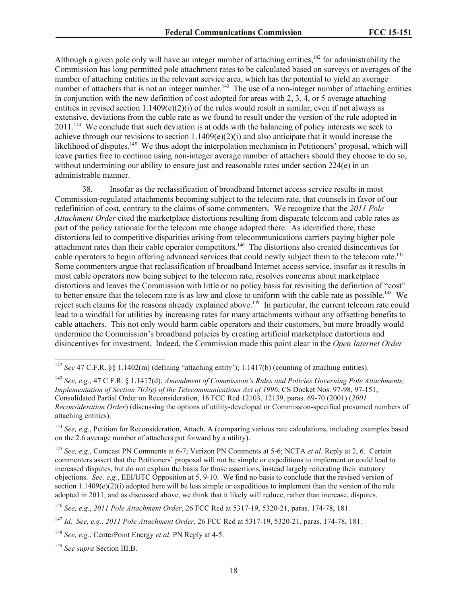Although a given pole only will have an integer number of attaching entities, $142$  for administrability the Commission has long permitted pole attachment rates to be calculated based on surveys or averages of the number of attaching entities in the relevant service area, which has the potential to yield an average number of attachers that is not an integer number.<sup>143</sup> The use of a non-integer number of attaching entities in conjunction with the new definition of cost adopted for areas with 2, 3, 4, or 5 average attaching entities in revised section  $1.1409(e)(2)(i)$  of the rules would result in similar, even if not always as extensive, deviations from the cable rate as we found to result under the version of the rule adopted in 2011.<sup>144</sup> We conclude that such deviation is at odds with the balancing of policy interests we seek to achieve through our revisions to section 1.1409(e)(2)(i) and also anticipate that it would increase the likelihood of disputes.<sup>145</sup> We thus adopt the interpolation mechanism in Petitioners' proposal, which will leave parties free to continue using non-integer average number of attachers should they choose to do so, without undermining our ability to ensure just and reasonable rates under section  $224(e)$  in an administrable manner.

38. Insofar as the reclassification of broadband Internet access service results in most Commission-regulated attachments becoming subject to the telecom rate, that counsels in favor of our redefinition of cost, contrary to the claims of some commenters. We recognize that the *2011 Pole Attachment Order* cited the marketplace distortions resulting from disparate telecom and cable rates as part of the policy rationale for the telecom rate change adopted there. As identified there, these distortions led to competitive disparities arising from telecommunications carriers paying higher pole attachment rates than their cable operator competitors.<sup>146</sup> The distortions also created disincentives for cable operators to begin offering advanced services that could newly subject them to the telecom rate.<sup>147</sup> Some commenters argue that reclassification of broadband Internet access service, insofar as it results in most cable operators now being subject to the telecom rate, resolves concerns about marketplace distortions and leaves the Commission with little or no policy basis for revisiting the definition of "cost" to better ensure that the telecom rate is as low and close to uniform with the cable rate as possible.<sup>148</sup> We reject such claims for the reasons already explained above.<sup>149</sup> In particular, the current telecom rate could lead to a windfall for utilities by increasing rates for many attachments without any offsetting benefits to cable attachers. This not only would harm cable operators and their customers, but more broadly would undermine the Commission's broadband policies by creating artificial marketplace distortions and disincentives for investment. Indeed, the Commission made this point clear in the *Open Internet Order*

<sup>146</sup> *See, e.g.*, *2011 Pole Attachment Order*, 26 FCC Rcd at 5317-19, 5320-21, paras. 174-78, 181.

<sup>147</sup> *Id*. *See, e.g.*, *2011 Pole Attachment Order*, 26 FCC Rcd at 5317-19, 5320-21, paras. 174-78, 181.

 $\overline{\phantom{a}}$ 

<sup>142</sup> *See* 47 C.F.R. §§ 1.1402(m) (defining "attaching entity'); 1.1417(b) (counting of attaching entities).

<sup>143</sup> *See, e.g.*, 47 C.F.R. § 1.1417(d); *Amendment of Commission's Rules and Policies Governing Pole Attachments; Implementation of Section 703(e) of the Telecommunications Act of 1996*, CS Docket Nos. 97-98, 97-151, Consolidated Partial Order on Reconsideration, 16 FCC Rcd 12103, 12139, paras. 69-70 (2001) (*2001 Reconsideration Order*) (discussing the options of utility-developed or Commission-specified presumed numbers of attaching entities).

<sup>144</sup> *See, e.g.*, Petition for Reconsideration, Attach. A (comparing various rate calculations, including examples based on the 2.6 average number of attachers put forward by a utility).

<sup>145</sup> *See, e.g.*, Comcast PN Comments at 6-7; Verizon PN Comments at 5-6; NCTA *et al*. Reply at 2, 6. Certain commenters assert that the Petitioners' proposal will not be simple or expeditious to implement or could lead to increased disputes, but do not explain the basis for those assertions, instead largely reiterating their statutory objections. *See, e.g.*, EEI/UTC Opposition at 5, 9-10. We find no basis to conclude that the revised version of section  $1.1409(e)(2)(i)$  adopted here will be less simple or expeditious to implement than the version of the rule adopted in 2011, and as discussed above, we think that it likely will reduce, rather than increase, disputes.

<sup>148</sup> *See, e.g.*, CenterPoint Energy *et al*. PN Reply at 4-5.

<sup>149</sup> *See supra* Section III.B.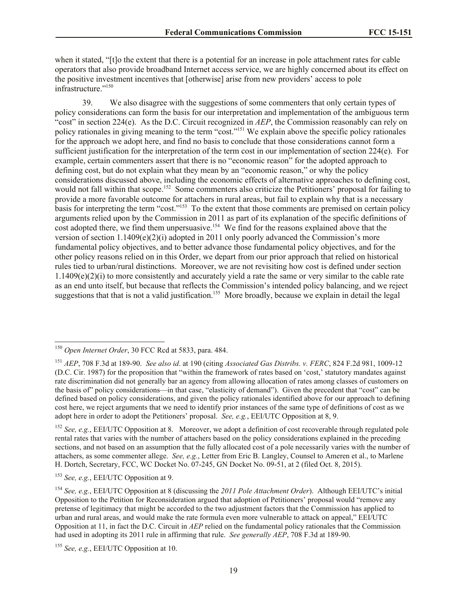when it stated, "[t]o the extent that there is a potential for an increase in pole attachment rates for cable operators that also provide broadband Internet access service, we are highly concerned about its effect on the positive investment incentives that [otherwise] arise from new providers' access to pole infrastructure."<sup>150</sup>

39. We also disagree with the suggestions of some commenters that only certain types of policy considerations can form the basis for our interpretation and implementation of the ambiguous term "cost" in section 224(e). As the D.C. Circuit recognized in  $AEP$ , the Commission reasonably can rely on policy rationales in giving meaning to the term "cost."<sup>151</sup> We explain above the specific policy rationales for the approach we adopt here, and find no basis to conclude that those considerations cannot form a sufficient justification for the interpretation of the term cost in our implementation of section 224(e). For example, certain commenters assert that there is no "economic reason" for the adopted approach to defining cost, but do not explain what they mean by an "economic reason," or why the policy considerations discussed above, including the economic effects of alternative approaches to defining cost, would not fall within that scope.<sup>152</sup> Some commenters also criticize the Petitioners' proposal for failing to provide a more favorable outcome for attachers in rural areas, but fail to explain why that is a necessary basis for interpreting the term "cost."<sup>153</sup> To the extent that those comments are premised on certain policy arguments relied upon by the Commission in 2011 as part of its explanation of the specific definitions of cost adopted there, we find them unpersuasive.<sup>154</sup> We find for the reasons explained above that the version of section  $1.1409(e)(2)(i)$  adopted in 2011 only poorly advanced the Commission's more fundamental policy objectives, and to better advance those fundamental policy objectives, and for the other policy reasons relied on in this Order, we depart from our prior approach that relied on historical rules tied to urban/rural distinctions. Moreover, we are not revisiting how cost is defined under section 1.1409(e)(2)(i) to more consistently and accurately yield a rate the same or very similar to the cable rate as an end unto itself, but because that reflects the Commission's intended policy balancing, and we reject suggestions that that is not a valid justification.<sup>155</sup> More broadly, because we explain in detail the legal

<sup>153</sup> *See, e.g.*, EEI/UTC Opposition at 9.

 $\overline{\phantom{a}}$ 

<sup>150</sup> *Open Internet Order*, 30 FCC Rcd at 5833, para. 484.

<sup>151</sup> *AEP*, 708 F.3d at 189-90. *See also id*. at 190 (citing *Associated Gas Distribs. v. FERC*, 824 F.2d 981, 1009-12 (D.C. Cir. 1987) for the proposition that "within the framework of rates based on 'cost,' statutory mandates against rate discrimination did not generally bar an agency from allowing allocation of rates among classes of customers on the basis of" policy considerations—in that case, "elasticity of demand"). Given the precedent that "cost" can be defined based on policy considerations, and given the policy rationales identified above for our approach to defining cost here, we reject arguments that we need to identify prior instances of the same type of definitions of cost as we adopt here in order to adopt the Petitioners' proposal. *See, e.g.*, EEI/UTC Opposition at 8, 9.

<sup>&</sup>lt;sup>152</sup> *See, e.g.*, EEI/UTC Opposition at 8. Moreover, we adopt a definition of cost recoverable through regulated pole rental rates that varies with the number of attachers based on the policy considerations explained in the preceding sections, and not based on an assumption that the fully allocated cost of a pole necessarily varies with the number of attachers, as some commenter allege. *See, e.g.*, Letter from Eric B. Langley, Counsel to Ameren et al., to Marlene H. Dortch, Secretary, FCC, WC Docket No. 07-245, GN Docket No. 09-51, at 2 (filed Oct. 8, 2015).

<sup>154</sup> *See, e.g.*, EEI/UTC Opposition at 8 (discussing the *2011 Pole Attachment Order*). Although EEI/UTC's initial Opposition to the Petition for Reconsideration argued that adoption of Petitioners' proposal would "remove any pretense of legitimacy that might be accorded to the two adjustment factors that the Commission has applied to urban and rural areas, and would make the rate formula even more vulnerable to attack on appeal," EEI/UTC Opposition at 11, in fact the D.C. Circuit in *AEP* relied on the fundamental policy rationales that the Commission had used in adopting its 2011 rule in affirming that rule. *See generally AEP*, 708 F.3d at 189-90.

<sup>155</sup> *See, e.g.*, EEI/UTC Opposition at 10.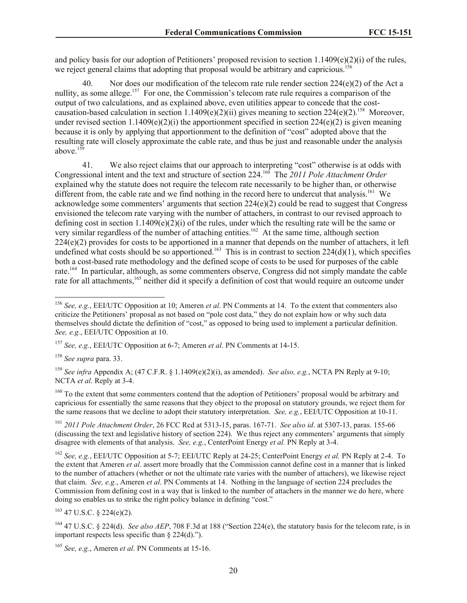and policy basis for our adoption of Petitioners' proposed revision to section 1.1409(e)(2)(i) of the rules, we reject general claims that adopting that proposal would be arbitrary and capricious.<sup>156</sup>

40. Nor does our modification of the telecom rate rule render section  $224(e)(2)$  of the Act a nullity, as some allege.<sup>157</sup> For one, the Commission's telecom rate rule requires a comparison of the output of two calculations, and as explained above, even utilities appear to concede that the costcausation-based calculation in section  $1.1409(e)(2)(ii)$  gives meaning to section  $224(e)(2)$ .<sup>158</sup> Moreover, under revised section 1.1409(e)(2)(i) the apportionment specified in section  $224(e)(2)$  is given meaning because it is only by applying that apportionment to the definition of "cost" adopted above that the resulting rate will closely approximate the cable rate, and thus be just and reasonable under the analysis above.<sup>159</sup>

41. We also reject claims that our approach to interpreting "cost" otherwise is at odds with Congressional intent and the text and structure of section 224.<sup>160</sup> The 2011 Pole Attachment Order explained why the statute does not require the telecom rate necessarily to be higher than, or otherwise different from, the cable rate and we find nothing in the record here to undercut that analysis.<sup>161</sup> We acknowledge some commenters' arguments that section 224(e)(2) could be read to suggest that Congress envisioned the telecom rate varying with the number of attachers, in contrast to our revised approach to defining cost in section 1.1409(e)(2)(i) of the rules, under which the resulting rate will be the same or very similar regardless of the number of attaching entities.<sup>162</sup> At the same time, although section  $224(e)(2)$  provides for costs to be apportioned in a manner that depends on the number of attachers, it left undefined what costs should be so apportioned.<sup>163</sup> This is in contrast to section  $224(d)(1)$ , which specifies both a cost-based rate methodology and the defined scope of costs to be used for purposes of the cable rate.<sup>164</sup> In particular, although, as some commenters observe, Congress did not simply mandate the cable rate for all attachments,<sup>165</sup> neither did it specify a definition of cost that would require an outcome under

<sup>158</sup> *See supra* para. 33.

 $\overline{\phantom{a}}$ 

<sup>159</sup> *See infra* Appendix A; (47 C.F.R. § 1.1409(e)(2)(i), as amended). *See also, e.g.*, NCTA PN Reply at 9-10; NCTA *et al*. Reply at 3-4.

<sup>160</sup> To the extent that some commenters contend that the adoption of Petitioners' proposal would be arbitrary and capricious for essentially the same reasons that they object to the proposal on statutory grounds, we reject them for the same reasons that we decline to adopt their statutory interpretation. *See, e.g.*, EEI/UTC Opposition at 10-11.

<sup>161</sup> *2011 Pole Attachment Order*, 26 FCC Rcd at 5313-15, paras. 167-71. *See also id*. at 5307-13, paras. 155-66 (discussing the text and legislative history of section 224). We thus reject any commenters' arguments that simply disagree with elements of that analysis. *See, e.g.*, CenterPoint Energy *et al.* PN Reply at 3-4.

<sup>162</sup> *See, e.g.*, EEI/UTC Opposition at 5-7; EEI/UTC Reply at 24-25; CenterPoint Energy *et al.* PN Reply at 2-4.To the extent that Ameren *et al*. assert more broadly that the Commission cannot define cost in a manner that is linked to the number of attachers (whether or not the ultimate rate varies with the number of attachers), we likewise reject that claim. *See, e.g.*, Ameren *et al*. PN Comments at 14. Nothing in the language of section 224 precludes the Commission from defining cost in a way that is linked to the number of attachers in the manner we do here, where doing so enables us to strike the right policy balance in defining "cost."

 $163$  47 U.S.C. § 224(e)(2).

<sup>156</sup> *See, e.g.*, EEI/UTC Opposition at 10; Ameren *et al*. PN Comments at 14. To the extent that commenters also criticize the Petitioners' proposal as not based on "pole cost data," they do not explain how or why such data themselves should dictate the definition of "cost," as opposed to being used to implement a particular definition. *See, e.g.*, EEI/UTC Opposition at 10.

<sup>157</sup> *See, e.g.*, EEI/UTC Opposition at 6-7; Ameren *et al*. PN Comments at 14-15.

<sup>164</sup> 47 U.S.C. § 224(d). *See also AEP*, 708 F.3d at 188 ("Section 224(e), the statutory basis for the telecom rate, is in important respects less specific than § 224(d).").

<sup>165</sup> *See, e.g.*, Ameren *et al*. PN Comments at 15-16.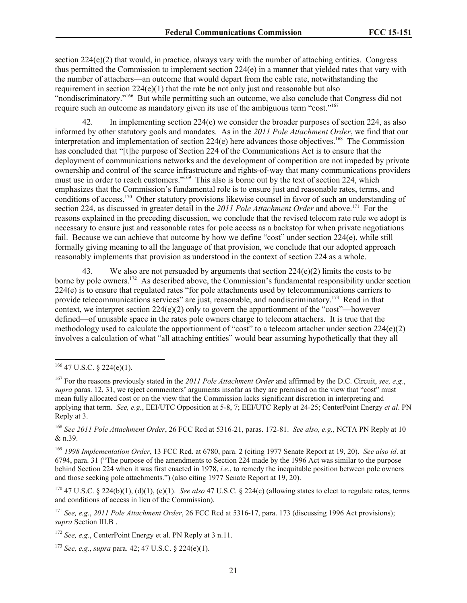section  $224(e)(2)$  that would, in practice, always vary with the number of attaching entities. Congress thus permitted the Commission to implement section 224(e) in a manner that yielded rates that vary with the number of attachers—an outcome that would depart from the cable rate, notwithstanding the requirement in section  $224(e)(1)$  that the rate be not only just and reasonable but also "nondiscriminatory."<sup>166</sup> But while permitting such an outcome, we also conclude that Congress did not require such an outcome as mandatory given its use of the ambiguous term "cost."<sup>167</sup>

42. In implementing section 224(e) we consider the broader purposes of section 224, as also informed by other statutory goals and mandates. As in the *2011 Pole Attachment Order*, we find that our interpretation and implementation of section  $224(e)$  here advances those objectives.<sup>168</sup> The Commission has concluded that "[t]he purpose of Section 224 of the Communications Act is to ensure that the deployment of communications networks and the development of competition are not impeded by private ownership and control of the scarce infrastructure and rights-of-way that many communications providers must use in order to reach customers."<sup>169</sup> This also is borne out by the text of section 224, which emphasizes that the Commission's fundamental role is to ensure just and reasonable rates, terms, and conditions of access.<sup>170</sup> Other statutory provisions likewise counsel in favor of such an understanding of section 224, as discussed in greater detail in the 2011 Pole Attachment Order and above.<sup>171</sup> For the reasons explained in the preceding discussion, we conclude that the revised telecom rate rule we adopt is necessary to ensure just and reasonable rates for pole access as a backstop for when private negotiations fail. Because we can achieve that outcome by how we define "cost" under section 224(e), while still formally giving meaning to all the language of that provision, we conclude that our adopted approach reasonably implements that provision as understood in the context of section 224 as a whole.

43. We also are not persuaded by arguments that section 224(e)(2) limits the costs to be borne by pole owners.<sup>172</sup> As described above, the Commission's fundamental responsibility under section 224(e) is to ensure that regulated rates "for pole attachments used by telecommunications carriers to provide telecommunications services" are just, reasonable, and nondiscriminatory.<sup>173</sup> Read in that context, we interpret section  $224(e)(2)$  only to govern the apportionment of the "cost"—however defined—of unusable space in the rates pole owners charge to telecom attachers. It is true that the methodology used to calculate the apportionment of "cost" to a telecom attacher under section 224(e)(2) involves a calculation of what "all attaching entities" would bear assuming hypothetically that they all

 $\overline{\phantom{a}}$ 

<sup>168</sup> *See 2011 Pole Attachment Order*, 26 FCC Rcd at 5316-21, paras. 172-81. *See also, e.g.*, NCTA PN Reply at 10 & n.39.

<sup>169</sup> *1998 Implementation Order*, 13 FCC Rcd. at 6780, para. 2 (citing 1977 Senate Report at 19, 20). *See also id*. at 6794, para. 31 ("The purpose of the amendments to Section 224 made by the 1996 Act was similar to the purpose behind Section 224 when it was first enacted in 1978, *i.e.*, to remedy the inequitable position between pole owners and those seeking pole attachments.") (also citing 1977 Senate Report at 19, 20).

<sup>170</sup> 47 U.S.C. § 224(b)(1), (d)(1), (e)(1). *See also* 47 U.S.C. § 224(c) (allowing states to elect to regulate rates, terms and conditions of access in lieu of the Commission).

<sup>171</sup> *See, e.g.*, *2011 Pole Attachment Order*, 26 FCC Rcd at 5316-17, para. 173 (discussing 1996 Act provisions); *supra* Section III.B .

 $166$  47 U.S.C. § 224(e)(1).

<sup>167</sup> For the reasons previously stated in the *2011 Pole Attachment Order* and affirmed by the D.C. Circuit, *see, e.g.*, *supra* paras. 12, 31, we reject commenters' arguments insofar as they are premised on the view that "cost" must mean fully allocated cost or on the view that the Commission lacks significant discretion in interpreting and applying that term. *See, e.g.*, EEI/UTC Opposition at 5-8, 7; EEI/UTC Reply at 24-25; CenterPoint Energy *et al*. PN Reply at 3.

<sup>172</sup> *See, e.g.*, CenterPoint Energy et al. PN Reply at 3 n.11.

<sup>173</sup> *See, e.g.*, *supra* para. 42; 47 U.S.C. § 224(e)(1).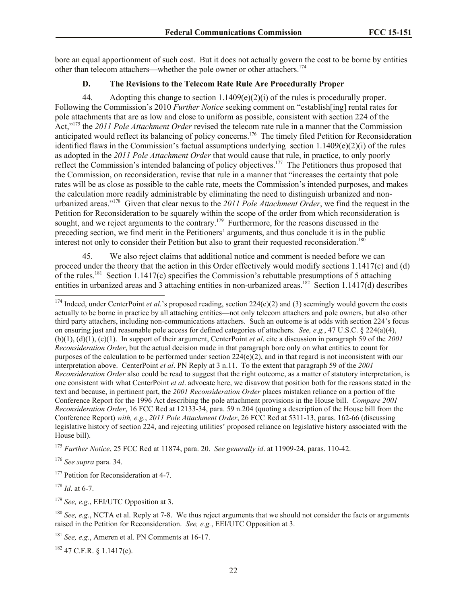bore an equal apportionment of such cost. But it does not actually govern the cost to be borne by entities other than telecom attachers—whether the pole owner or other attachers.<sup>174</sup>

### **D. The Revisions to the Telecom Rate Rule Are Procedurally Proper**

44. Adopting this change to section  $1.1409(e)(2)(i)$  of the rules is procedurally proper. Following the Commission's 2010 *Further Notice* seeking comment on "establish[ing] rental rates for pole attachments that are as low and close to uniform as possible, consistent with section 224 of the Act,"<sup>175</sup> the *2011 Pole Attachment Order* revised the telecom rate rule in a manner that the Commission anticipated would reflect its balancing of policy concerns.<sup>176</sup> The timely filed Petition for Reconsideration identified flaws in the Commission's factual assumptions underlying section  $1.1409(e)(2)(i)$  of the rules as adopted in the *2011 Pole Attachment Order* that would cause that rule, in practice, to only poorly reflect the Commission's intended balancing of policy objectives.<sup>177</sup> The Petitioners thus proposed that the Commission, on reconsideration, revise that rule in a manner that "increases the certainty that pole rates will be as close as possible to the cable rate, meets the Commission's intended purposes, and makes the calculation more readily administrable by eliminating the need to distinguish urbanized and nonurbanized areas."<sup>178</sup> Given that clear nexus to the *2011 Pole Attachment Order*, we find the request in the Petition for Reconsideration to be squarely within the scope of the order from which reconsideration is sought, and we reject arguments to the contrary.<sup>179</sup> Furthermore, for the reasons discussed in the preceding section, we find merit in the Petitioners' arguments, and thus conclude it is in the public interest not only to consider their Petition but also to grant their requested reconsideration.<sup>180</sup>

45. We also reject claims that additional notice and comment is needed before we can proceed under the theory that the action in this Order effectively would modify sections 1.1417(c) and (d) of the rules.<sup>181</sup> Section 1.1417(c) specifies the Commission's rebuttable presumptions of 5 attaching entities in urbanized areas and 3 attaching entities in non-urbanized areas.<sup>182</sup> Section 1.1417(d) describes

<sup>175</sup> *Further Notice*, 25 FCC Rcd at 11874, para. 20. *See generally id*. at 11909-24, paras. 110-42.

<sup>176</sup> *See supra* para. 34.

<sup>178</sup> *Id*. at 6-7.

 $\overline{a}$ 

 $182$  47 C.F.R. § 1.1417(c).

<sup>&</sup>lt;sup>174</sup> Indeed, under CenterPoint *et al.*'s proposed reading, section  $224(e)(2)$  and (3) seemingly would govern the costs actually to be borne in practice by all attaching entities—not only telecom attachers and pole owners, but also other third party attachers, including non-communications attachers. Such an outcome is at odds with section 224's focus on ensuring just and reasonable pole access for defined categories of attachers. *See, e.g.*, 47 U.S.C. § 224(a)(4), (b)(1), (d)(1), (e)(1). In support of their argument, CenterPoint *et al*. cite a discussion in paragraph 59 of the *2001 Reconsideration Order*, but the actual decision made in that paragraph bore only on what entities to count for purposes of the calculation to be performed under section  $224(e)(2)$ , and in that regard is not inconsistent with our interpretation above. CenterPoint *et al*. PN Reply at 3 n.11. To the extent that paragraph 59 of the *2001 Reconsideration Order* also could be read to suggest that the right outcome, as a matter of statutory interpretation, is one consistent with what CenterPoint *et al*. advocate here, we disavow that position both for the reasons stated in the text and because, in pertinent part, the *2001 Reconsideration Order* places mistaken reliance on a portion of the Conference Report for the 1996 Act describing the pole attachment provisions in the House bill. *Compare 2001 Reconsideration Order*, 16 FCC Rcd at 12133-34, para. 59 n.204 (quoting a description of the House bill from the Conference Report) *with, e.g.*, *2011 Pole Attachment Order*, 26 FCC Rcd at 5311-13, paras. 162-66 (discussing legislative history of section 224, and rejecting utilities' proposed reliance on legislative history associated with the House bill).

<sup>&</sup>lt;sup>177</sup> Petition for Reconsideration at 4-7.

<sup>179</sup> *See, e.g.*, EEI/UTC Opposition at 3.

<sup>&</sup>lt;sup>180</sup> *See, e.g.*, NCTA et al. Reply at 7-8. We thus reject arguments that we should not consider the facts or arguments raised in the Petition for Reconsideration. *See, e.g.*, EEI/UTC Opposition at 3.

<sup>181</sup> *See, e.g.*, Ameren et al. PN Comments at 16-17.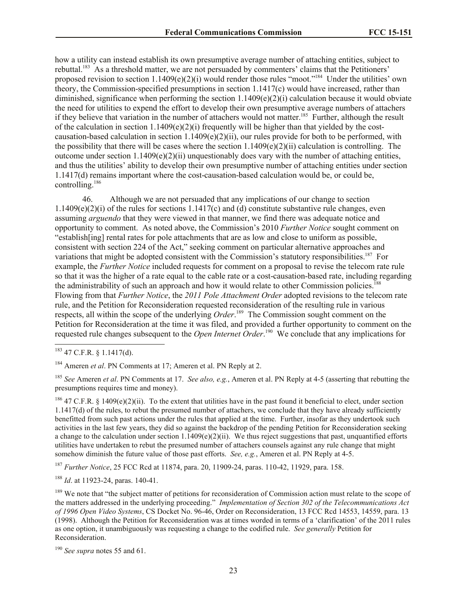how a utility can instead establish its own presumptive average number of attaching entities, subject to rebuttal.<sup>183</sup> As a threshold matter, we are not persuaded by commenters' claims that the Petitioners' proposed revision to section 1.1409(e)(2)(i) would render those rules "moot."<sup>184</sup> Under the utilities' own theory, the Commission-specified presumptions in section 1.1417(c) would have increased, rather than diminished, significance when performing the section 1.1409(e)(2)(i) calculation because it would obviate the need for utilities to expend the effort to develop their own presumptive average numbers of attachers if they believe that variation in the number of attachers would not matter.<sup>185</sup> Further, although the result of the calculation in section  $1.1409(e)(2)(i)$  frequently will be higher than that yielded by the costcausation-based calculation in section  $1.1409(e)(2)(ii)$ , our rules provide for both to be performed, with the possibility that there will be cases where the section  $1.1409(e)(2)(ii)$  calculation is controlling. The outcome under section 1.1409(e)(2)(ii) unquestionably does vary with the number of attaching entities, and thus the utilities' ability to develop their own presumptive number of attaching entities under section 1.1417(d) remains important where the cost-causation-based calculation would be, or could be, controlling.<sup>186</sup>

46. Although we are not persuaded that any implications of our change to section  $1.1409(e)(2)(i)$  of the rules for sections  $1.1417(c)$  and (d) constitute substantive rule changes, even assuming *arguendo* that they were viewed in that manner, we find there was adequate notice and opportunity to comment. As noted above, the Commission's 2010 *Further Notice* sought comment on "establish[ing] rental rates for pole attachments that are as low and close to uniform as possible, consistent with section 224 of the Act," seeking comment on particular alternative approaches and variations that might be adopted consistent with the Commission's statutory responsibilities.<sup>187</sup> For example, the *Further Notice* included requests for comment on a proposal to revise the telecom rate rule so that it was the higher of a rate equal to the cable rate or a cost-causation-based rate, including regarding the administrability of such an approach and how it would relate to other Commission policies.<sup>188</sup> Flowing from that *Further Notice*, the *2011 Pole Attachment Order* adopted revisions to the telecom rate rule, and the Petition for Reconsideration requested reconsideration of the resulting rule in various respects, all within the scope of the underlying *Order*. 189 The Commission sought comment on the Petition for Reconsideration at the time it was filed, and provided a further opportunity to comment on the requested rule changes subsequent to the *Open Internet Order*. 190 We conclude that any implications for

 $\overline{a}$ 

<sup>185</sup> *See* Ameren *et al*. PN Comments at 17. *See also, e.g.*, Ameren et al. PN Reply at 4-5 (asserting that rebutting the presumptions requires time and money).

<sup>186</sup> 47 C.F.R. § 1409(e)(2)(ii). To the extent that utilities have in the past found it beneficial to elect, under section 1.1417(d) of the rules, to rebut the presumed number of attachers, we conclude that they have already sufficiently benefitted from such past actions under the rules that applied at the time. Further, insofar as they undertook such activities in the last few years, they did so against the backdrop of the pending Petition for Reconsideration seeking a change to the calculation under section  $1.1409(e)(2)(ii)$ . We thus reject suggestions that past, unquantified efforts utilities have undertaken to rebut the presumed number of attachers counsels against any rule change that might somehow diminish the future value of those past efforts. *See, e.g.*, Ameren et al. PN Reply at 4-5.

<sup>187</sup> *Further Notice*, 25 FCC Rcd at 11874, para. 20, 11909-24, paras. 110-42, 11929, para. 158.

<sup>188</sup> *Id*. at 11923-24, paras. 140-41.

 $183$  47 C.F.R. § 1.1417(d).

<sup>184</sup> Ameren *et al*. PN Comments at 17; Ameren et al. PN Reply at 2.

<sup>&</sup>lt;sup>189</sup> We note that "the subject matter of petitions for reconsideration of Commission action must relate to the scope of the matters addressed in the underlying proceeding." *Implementation of Section 302 of the Telecommunications Act of 1996 Open Video Systems*, CS Docket No. 96-46, Order on Reconsideration, 13 FCC Rcd 14553, 14559, para. 13 (1998). Although the Petition for Reconsideration was at times worded in terms of a 'clarification' of the 2011 rules as one option, it unambiguously was requesting a change to the codified rule. *See generally* Petition for Reconsideration.

<sup>190</sup> *See supra* notes 55 and 61.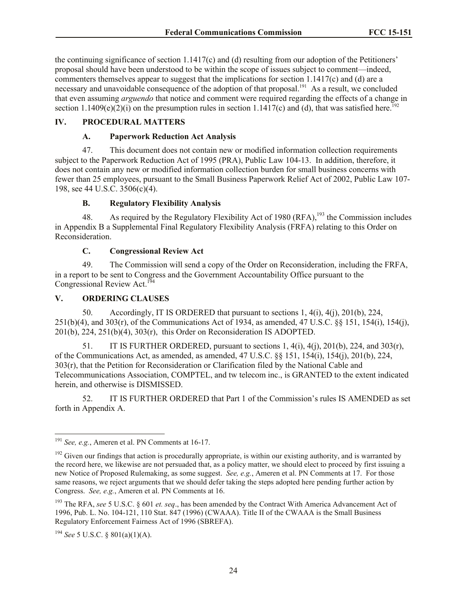the continuing significance of section 1.1417(c) and (d) resulting from our adoption of the Petitioners' proposal should have been understood to be within the scope of issues subject to comment—indeed, commenters themselves appear to suggest that the implications for section 1.1417(c) and (d) are a necessary and unavoidable consequence of the adoption of that proposal.<sup>191</sup> As a result, we concluded that even assuming *arguendo* that notice and comment were required regarding the effects of a change in section 1.1409(e)(2)(i) on the presumption rules in section 1.1417(c) and (d), that was satisfied here.<sup>192</sup>

## **IV. PROCEDURAL MATTERS**

### **A. Paperwork Reduction Act Analysis**

47. This document does not contain new or modified information collection requirements subject to the Paperwork Reduction Act of 1995 (PRA), Public Law 104-13. In addition, therefore, it does not contain any new or modified information collection burden for small business concerns with fewer than 25 employees, pursuant to the Small Business Paperwork Relief Act of 2002, Public Law 107- 198, see 44 U.S.C. 3506(c)(4).

## **B. Regulatory Flexibility Analysis**

48. As required by the Regulatory Flexibility Act of 1980 (RFA), <sup>193</sup> the Commission includes in Appendix B a Supplemental Final Regulatory Flexibility Analysis (FRFA) relating to this Order on Reconsideration.

## **C. Congressional Review Act**

49. The Commission will send a copy of the Order on Reconsideration, including the FRFA, in a report to be sent to Congress and the Government Accountability Office pursuant to the Congressional Review Act.<sup>194</sup>

## **V. ORDERING CLAUSES**

50. Accordingly, IT IS ORDERED that pursuant to sections 1, 4(i), 4(j), 201(b), 224, 251(b)(4), and 303(r), of the Communications Act of 1934, as amended, 47 U.S.C. §§ 151, 154(i), 154(j), 201(b), 224, 251(b)(4), 303(r), this Order on Reconsideration IS ADOPTED.

51. IT IS FURTHER ORDERED, pursuant to sections 1, 4(i), 4(j), 201(b), 224, and 303(r), of the Communications Act, as amended, as amended, 47 U.S.C. §§ 151, 154(i), 154(j), 201(b), 224, 303(r), that the Petition for Reconsideration or Clarification filed by the National Cable and Telecommunications Association, COMPTEL, and tw telecom inc., is GRANTED to the extent indicated herein, and otherwise is DISMISSED.

52. IT IS FURTHER ORDERED that Part 1 of the Commission's rules IS AMENDED as set forth in Appendix A.

 $\overline{a}$ 

<sup>191</sup> *See, e.g.*, Ameren et al. PN Comments at 16-17.

 $192$  Given our findings that action is procedurally appropriate, is within our existing authority, and is warranted by the record here, we likewise are not persuaded that, as a policy matter, we should elect to proceed by first issuing a new Notice of Proposed Rulemaking, as some suggest. *See, e.g.*, Ameren et al. PN Comments at 17. For those same reasons, we reject arguments that we should defer taking the steps adopted here pending further action by Congress. *See, e.g.*, Ameren et al. PN Comments at 16.

<sup>193</sup> The RFA, *see* 5 U.S.C. § 601 *et. seq*., has been amended by the Contract With America Advancement Act of 1996, Pub. L. No. 104-121, 110 Stat. 847 (1996) (CWAAA). Title II of the CWAAA is the Small Business Regulatory Enforcement Fairness Act of 1996 (SBREFA).

<sup>194</sup> *See* 5 U.S.C. § 801(a)(1)(A).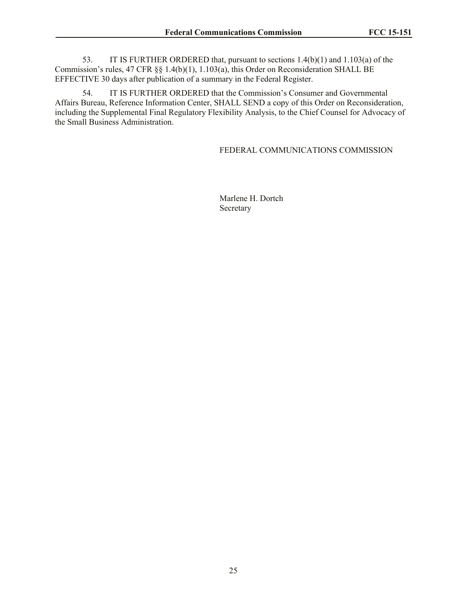53. IT IS FURTHER ORDERED that, pursuant to sections 1.4(b)(1) and 1.103(a) of the Commission's rules, 47 CFR §§ 1.4(b)(1), 1.103(a), this Order on Reconsideration SHALL BE EFFECTIVE 30 days after publication of a summary in the Federal Register.

54. IT IS FURTHER ORDERED that the Commission's Consumer and Governmental Affairs Bureau, Reference Information Center, SHALL SEND a copy of this Order on Reconsideration, including the Supplemental Final Regulatory Flexibility Analysis, to the Chief Counsel for Advocacy of the Small Business Administration.

### FEDERAL COMMUNICATIONS COMMISSION

Marlene H. Dortch Secretary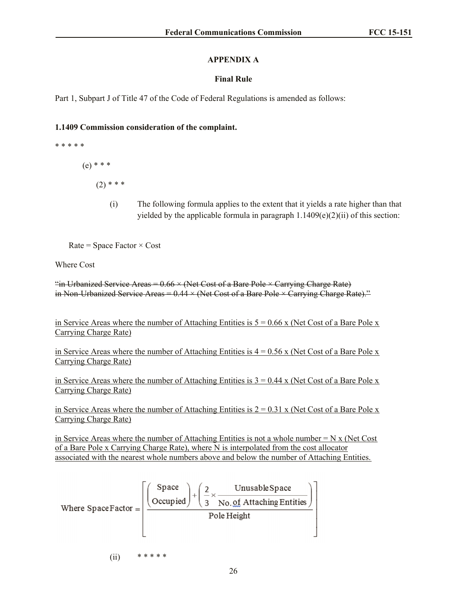## **APPENDIX A**

## **Final Rule**

Part 1, Subpart J of Title 47 of the Code of Federal Regulations is amended as follows:

### **1.1409 Commission consideration of the complaint.**

\* \* \* \* \*

 $(e)$  \* \* \*

 $(2)$  \* \* \*

(i) The following formula applies to the extent that it yields a rate higher than that yielded by the applicable formula in paragraph  $1.1409(e)(2)(ii)$  of this section:

Rate = Space Factor  $\times$  Cost

Where Cost

"in Urbanized Service Areas  $= 0.66 \times$  (Net Cost of a Bare Pole  $\times$  Carrying Charge Rate) in Non-Urbanized Service Areas =  $0.44 \times$  (Net Cost of a Bare Pole  $\times$  Carrying Charge Rate)."

in Service Areas where the number of Attaching Entities is  $5 = 0.66$  x (Net Cost of a Bare Pole x Carrying Charge Rate)

in Service Areas where the number of Attaching Entities is  $4 = 0.56$  x (Net Cost of a Bare Pole x Carrying Charge Rate)

in Service Areas where the number of Attaching Entities is  $3 = 0.44$  x (Net Cost of a Bare Pole x Carrying Charge Rate)

in Service Areas where the number of Attaching Entities is  $2 = 0.31$  x (Net Cost of a Bare Pole x Carrying Charge Rate)

in Service Areas where the number of Attaching Entities is not a whole number  $= N x$  (Net Cost of a Bare Pole x Carrying Charge Rate), where N is interpolated from the cost allocator associated with the nearest whole numbers above and below the number of Attaching Entities.

Where SpaceFactor = 
$$
\left[\frac{\left(\frac{\text{Space}}{\text{Ocoupled}}\right) + \left(\frac{2}{3} \times \frac{\text{Unusable Space}}{\text{No. of } \text{Attaching Entities}}\right)}{\text{Pole Height}}\right]
$$

(ii) \* \* \* \* \*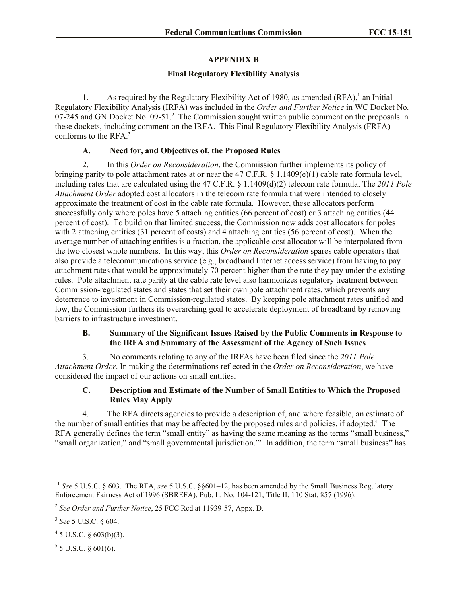# **APPENDIX B**

# **Final Regulatory Flexibility Analysis**

1. As required by the Regulatory Flexibility Act of 1980, as amended  $(RFA)$ ,<sup>1</sup> an Initial Regulatory Flexibility Analysis (IRFA) was included in the *Order and Further Notice* in WC Docket No. 07-245 and GN Docket No. 09-51.<sup>2</sup> The Commission sought written public comment on the proposals in these dockets, including comment on the IRFA. This Final Regulatory Flexibility Analysis (FRFA) conforms to the RFA.<sup>3</sup>

# **A. Need for, and Objectives of, the Proposed Rules**

2. In this *Order on Reconsideration*, the Commission further implements its policy of bringing parity to pole attachment rates at or near the 47 C.F.R. § 1.1409(e)(1) cable rate formula level, including rates that are calculated using the 47 C.F.R. § 1.1409(d)(2) telecom rate formula. The *2011 Pole Attachment Order* adopted cost allocators in the telecom rate formula that were intended to closely approximate the treatment of cost in the cable rate formula. However, these allocators perform successfully only where poles have 5 attaching entities (66 percent of cost) or 3 attaching entities (44 percent of cost). To build on that limited success, the Commission now adds cost allocators for poles with 2 attaching entities (31 percent of costs) and 4 attaching entities (56 percent of cost). When the average number of attaching entities is a fraction, the applicable cost allocator will be interpolated from the two closest whole numbers. In this way, this *Order on Reconsideration* spares cable operators that also provide a telecommunications service (e.g., broadband Internet access service) from having to pay attachment rates that would be approximately 70 percent higher than the rate they pay under the existing rules. Pole attachment rate parity at the cable rate level also harmonizes regulatory treatment between Commission-regulated states and states that set their own pole attachment rates, which prevents any deterrence to investment in Commission-regulated states. By keeping pole attachment rates unified and low, the Commission furthers its overarching goal to accelerate deployment of broadband by removing barriers to infrastructure investment.

# **B. Summary of the Significant Issues Raised by the Public Comments in Response to the IRFA and Summary of the Assessment of the Agency of Such Issues**

3. No comments relating to any of the IRFAs have been filed since the *2011 Pole Attachment Order*. In making the determinations reflected in the *Order on Reconsideration*, we have considered the impact of our actions on small entities.

# **C. Description and Estimate of the Number of Small Entities to Which the Proposed Rules May Apply**

4. The RFA directs agencies to provide a description of, and where feasible, an estimate of the number of small entities that may be affected by the proposed rules and policies, if adopted.<sup>4</sup> The RFA generally defines the term "small entity" as having the same meaning as the terms "small business," "small organization," and "small governmental jurisdiction."<sup>5</sup> In addition, the term "small business" has

 $\overline{a}$ 

 $5$  5 U.S.C. § 601(6).

<sup>&</sup>lt;sup>11</sup> See 5 U.S.C. § 603. The RFA, see 5 U.S.C. §§601–12, has been amended by the Small Business Regulatory Enforcement Fairness Act of 1996 (SBREFA), Pub. L. No. 104-121, Title II, 110 Stat. 857 (1996).

<sup>2</sup> *See Order and Further Notice*, 25 FCC Rcd at 11939-57, Appx. D.

<sup>3</sup> *See* 5 U.S.C. § 604.

 $4\,$  5 U.S.C. § 603(b)(3).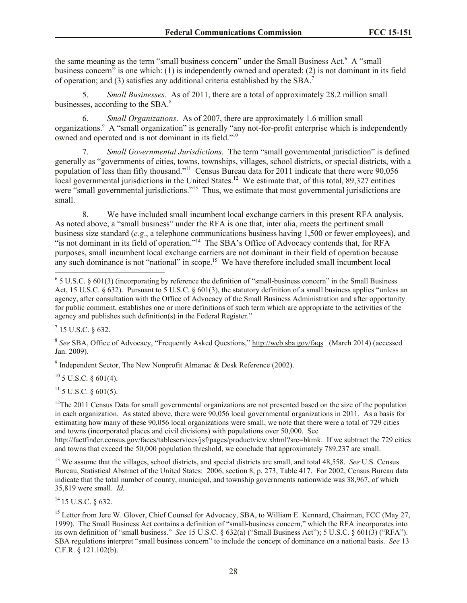the same meaning as the term "small business concern" under the Small Business Act.<sup>6</sup> A "small business concern" is one which: (1) is independently owned and operated; (2) is not dominant in its field of operation; and (3) satisfies any additional criteria established by the  $SBA$ <sup>7</sup>

5. *Small Businesses*. As of 2011, there are a total of approximately 28.2 million small businesses, according to the SBA.<sup>8</sup>

6. *Small Organizations*. As of 2007, there are approximately 1.6 million small organizations.<sup>9</sup> A "small organization" is generally "any not-for-profit enterprise which is independently owned and operated and is not dominant in its field."<sup>10</sup>

7. *Small Governmental Jurisdictions*. The term "small governmental jurisdiction" is defined generally as "governments of cities, towns, townships, villages, school districts, or special districts, with a population of less than fifty thousand."<sup>11</sup> Census Bureau data for 2011 indicate that there were 90,056 local governmental jurisdictions in the United States.<sup>12</sup> We estimate that, of this total, 89,327 entities were "small governmental jurisdictions."<sup>13</sup> Thus, we estimate that most governmental jurisdictions are small.

8. We have included small incumbent local exchange carriers in this present RFA analysis. As noted above, a "small business" under the RFA is one that, inter alia, meets the pertinent small business size standard (*e.g*., a telephone communications business having 1,500 or fewer employees), and "is not dominant in its field of operation."<sup>14</sup> The SBA's Office of Advocacy contends that, for RFA purposes, small incumbent local exchange carriers are not dominant in their field of operation because any such dominance is not "national" in scope.<sup>15</sup> We have therefore included small incumbent local

 $^7$  15 U.S.C. § 632.

 $\overline{\phantom{a}}$ 

<sup>8</sup> See SBA, Office of Advocacy, "Frequently Asked Questions," http://web.sba.gov/faqs (March 2014) (accessed Jan. 2009).

<sup>9</sup> Independent Sector, The New Nonprofit Almanac & Desk Reference (2002).

 $10$  5 U.S.C. § 601(4).

 $11$  5 U.S.C. § 601(5).

 $12$ The 2011 Census Data for small governmental organizations are not presented based on the size of the population in each organization. As stated above, there were 90,056 local governmental organizations in 2011. As a basis for estimating how many of these 90,056 local organizations were small, we note that there were a total of 729 cities and towns (incorporated places and civil divisions) with populations over 50,000. See http://factfinder.census.gov/faces/tableservices/jsf/pages/productview.xhtml?src=bkmk. If we subtract the 729 cities and towns that exceed the 50,000 population threshold, we conclude that approximately 789,237 are small.

<sup>13</sup> We assume that the villages, school districts, and special districts are small, and total 48,558. *See* U.S. Census Bureau, Statistical Abstract of the United States: 2006, section 8, p. 273, Table 417. For 2002, Census Bureau data indicate that the total number of county, municipal, and township governments nationwide was 38,967, of which 35,819 were small. *Id.*

<sup>14</sup> 15 U.S.C. § 632.

<sup>15</sup> Letter from Jere W. Glover, Chief Counsel for Advocacy, SBA, to William E. Kennard, Chairman, FCC (May 27, 1999). The Small Business Act contains a definition of "small-business concern," which the RFA incorporates into its own definition of "small business." *See* 15 U.S.C. § 632(a) ("Small Business Act"); 5 U.S.C. § 601(3) ("RFA"). SBA regulations interpret "small business concern" to include the concept of dominance on a national basis. *See* 13 C.F.R. § 121.102(b).

 $6$  5 U.S.C. § 601(3) (incorporating by reference the definition of "small-business concern" in the Small Business Act, 15 U.S.C. § 632). Pursuant to 5 U.S.C. § 601(3), the statutory definition of a small business applies "unless an agency, after consultation with the Office of Advocacy of the Small Business Administration and after opportunity for public comment, establishes one or more definitions of such term which are appropriate to the activities of the agency and publishes such definition(s) in the Federal Register."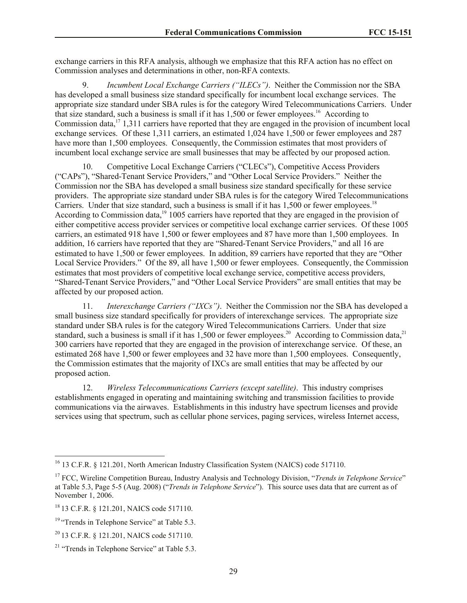exchange carriers in this RFA analysis, although we emphasize that this RFA action has no effect on Commission analyses and determinations in other, non-RFA contexts.

9. *Incumbent Local Exchange Carriers ("ILECs")*. Neither the Commission nor the SBA has developed a small business size standard specifically for incumbent local exchange services. The appropriate size standard under SBA rules is for the category Wired Telecommunications Carriers. Under that size standard, such a business is small if it has  $1,500$  or fewer employees.<sup>16</sup> According to Commission data,  $17$  1,311 carriers have reported that they are engaged in the provision of incumbent local exchange services. Of these 1,311 carriers, an estimated 1,024 have 1,500 or fewer employees and 287 have more than 1,500 employees. Consequently, the Commission estimates that most providers of incumbent local exchange service are small businesses that may be affected by our proposed action.

10. Competitive Local Exchange Carriers ("CLECs"), Competitive Access Providers ("CAPs"), "Shared-Tenant Service Providers," and "Other Local Service Providers." Neither the Commission nor the SBA has developed a small business size standard specifically for these service providers. The appropriate size standard under SBA rules is for the category Wired Telecommunications Carriers. Under that size standard, such a business is small if it has 1,500 or fewer employees.<sup>18</sup> According to Commission data,<sup>19</sup> 1005 carriers have reported that they are engaged in the provision of either competitive access provider services or competitive local exchange carrier services. Of these 1005 carriers, an estimated 918 have 1,500 or fewer employees and 87 have more than 1,500 employees. In addition, 16 carriers have reported that they are "Shared-Tenant Service Providers," and all 16 are estimated to have 1,500 or fewer employees. In addition, 89 carriers have reported that they are "Other Local Service Providers." Of the 89, all have 1,500 or fewer employees. Consequently, the Commission estimates that most providers of competitive local exchange service, competitive access providers, "Shared-Tenant Service Providers," and "Other Local Service Providers" are small entities that may be affected by our proposed action.

11. *Interexchange Carriers ("IXCs")*. Neither the Commission nor the SBA has developed a small business size standard specifically for providers of interexchange services. The appropriate size standard under SBA rules is for the category Wired Telecommunications Carriers. Under that size standard, such a business is small if it has  $1,500$  or fewer employees.<sup>20</sup> According to Commission data,<sup>21</sup> 300 carriers have reported that they are engaged in the provision of interexchange service. Of these, an estimated 268 have 1,500 or fewer employees and 32 have more than 1,500 employees. Consequently, the Commission estimates that the majority of IXCs are small entities that may be affected by our proposed action.

12. *Wireless Telecommunications Carriers (except satellite)*. This industry comprises establishments engaged in operating and maintaining switching and transmission facilities to provide communications via the airwaves. Establishments in this industry have spectrum licenses and provide services using that spectrum, such as cellular phone services, paging services, wireless Internet access,

 $\overline{a}$ 

<sup>&</sup>lt;sup>16</sup> 13 C.F.R. § 121.201, North American Industry Classification System (NAICS) code 517110.

<sup>17</sup> FCC, Wireline Competition Bureau, Industry Analysis and Technology Division, "*Trends in Telephone Service*" at Table 5.3, Page 5-5 (Aug. 2008) ("*Trends in Telephone Service*"). This source uses data that are current as of November 1, 2006.

<sup>18</sup> 13 C.F.R. § 121.201, NAICS code 517110.

<sup>&</sup>lt;sup>19</sup> "Trends in Telephone Service" at Table 5.3.

<sup>&</sup>lt;sup>20</sup> 13 C.F.R. § 121.201, NAICS code 517110.

<sup>&</sup>lt;sup>21</sup> "Trends in Telephone Service" at Table 5.3.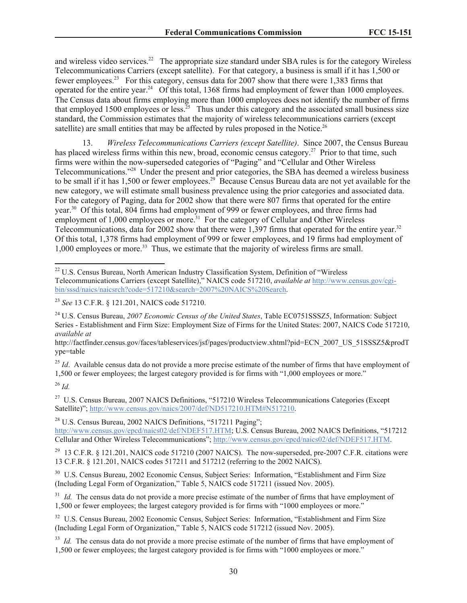and wireless video services.<sup>22</sup> The appropriate size standard under SBA rules is for the category Wireless Telecommunications Carriers (except satellite). For that category, a business is small if it has 1,500 or fewer employees.<sup>23</sup> For this category, census data for 2007 show that there were 1,383 firms that operated for the entire year.<sup>24</sup> Of this total, 1368 firms had employment of fewer than 1000 employees. The Census data about firms employing more than 1000 employees does not identify the number of firms that employed 1500 employees or less.<sup>25</sup> Thus under this category and the associated small business size standard, the Commission estimates that the majority of wireless telecommunications carriers (except satellite) are small entities that may be affected by rules proposed in the Notice.<sup>26</sup>

13. *Wireless Telecommunications Carriers (except Satellite)*. Since 2007, the Census Bureau has placed wireless firms within this new, broad, economic census category.<sup>27</sup> Prior to that time, such firms were within the now-superseded categories of "Paging" and "Cellular and Other Wireless Telecommunications."<sup>28</sup> Under the present and prior categories, the SBA has deemed a wireless business to be small if it has  $1,500$  or fewer employees.<sup>29</sup> Because Census Bureau data are not yet available for the new category, we will estimate small business prevalence using the prior categories and associated data. For the category of Paging, data for 2002 show that there were 807 firms that operated for the entire year.<sup>30</sup> Of this total, 804 firms had employment of 999 or fewer employees, and three firms had employment of 1,000 employees or more.<sup>31</sup> For the category of Cellular and Other Wireless Telecommunications, data for 2002 show that there were 1,397 firms that operated for the entire year.<sup>32</sup> Of this total, 1,378 firms had employment of 999 or fewer employees, and 19 firms had employment of 1,000 employees or more.<sup>33</sup> Thus, we estimate that the majority of wireless firms are small.

http://factfinder.census.gov/faces/tableservices/jsf/pages/productview.xhtml?pid=ECN\_2007\_US\_51SSSZ5&prodT ype=table

<sup>25</sup> *Id*. Available census data do not provide a more precise estimate of the number of firms that have employment of 1,500 or fewer employees; the largest category provided is for firms with "1,000 employees or more."

### <sup>26</sup> *Id.*

 $\overline{\phantom{a}}$ 

<sup>27</sup> U.S. Census Bureau, 2007 NAICS Definitions, "517210 Wireless Telecommunications Categories (Except Satellite)"; http://www.census.gov/naics/2007/def/ND517210.HTM#N517210.

<sup>28</sup> U.S. Census Bureau, 2002 NAICS Definitions, "517211 Paging"; http://www.census.gov/epcd/naics02/def/NDEF517.HTM; U.S. Census Bureau, 2002 NAICS Definitions, "517212 Cellular and Other Wireless Telecommunications"; http://www.census.gov/epcd/naics02/def/NDEF517.HTM.

<sup>29</sup> 13 C.F.R. § 121.201, NAICS code 517210 (2007 NAICS). The now-superseded, pre-2007 C.F.R. citations were 13 C.F.R. § 121.201, NAICS codes 517211 and 517212 (referring to the 2002 NAICS).

<sup>30</sup> U.S. Census Bureau, 2002 Economic Census, Subject Series: Information, "Establishment and Firm Size (Including Legal Form of Organization," Table 5, NAICS code 517211 (issued Nov. 2005).

<sup>31</sup> *Id.* The census data do not provide a more precise estimate of the number of firms that have employment of 1,500 or fewer employees; the largest category provided is for firms with "1000 employees or more."

<sup>32</sup> U.S. Census Bureau, 2002 Economic Census, Subject Series: Information, "Establishment and Firm Size (Including Legal Form of Organization," Table 5, NAICS code 517212 (issued Nov. 2005).

<sup>33</sup> *Id.* The census data do not provide a more precise estimate of the number of firms that have employment of 1,500 or fewer employees; the largest category provided is for firms with "1000 employees or more."

<sup>&</sup>lt;sup>22</sup> U.S. Census Bureau, North American Industry Classification System, Definition of "Wireless Telecommunications Carriers (except Satellite)," NAICS code 517210, *available at* http://www.census.gov/cgibin/sssd/naics/naicsrch?code=517210&search=2007%20NAICS%20Search.

<sup>23</sup> *See* 13 C.F.R. § 121.201, NAICS code 517210.

<sup>24</sup> U.S. Census Bureau, *2007 Economic Census of the United States*, Table EC0751SSSZ5, Information: Subject Series - Establishment and Firm Size: Employment Size of Firms for the United States: 2007, NAICS Code 517210, *available at*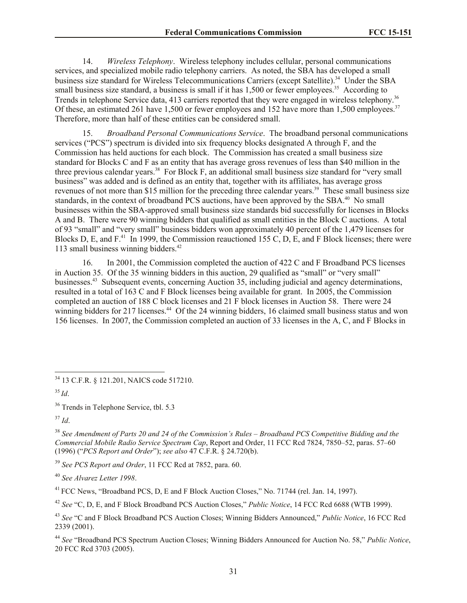14. *Wireless Telephony*. Wireless telephony includes cellular, personal communications services, and specialized mobile radio telephony carriers. As noted, the SBA has developed a small business size standard for Wireless Telecommunications Carriers (except Satellite).<sup>34</sup> Under the SBA small business size standard, a business is small if it has  $1,500$  or fewer employees.<sup>35</sup> According to Trends in telephone Service data, 413 carriers reported that they were engaged in wireless telephony.<sup>36</sup> Of these, an estimated 261 have 1,500 or fewer employees and 152 have more than 1,500 employees.<sup>37</sup> Therefore, more than half of these entities can be considered small.

15. *Broadband Personal Communications Service*. The broadband personal communications services ("PCS") spectrum is divided into six frequency blocks designated A through F, and the Commission has held auctions for each block. The Commission has created a small business size standard for Blocks C and F as an entity that has average gross revenues of less than \$40 million in the three previous calendar years.<sup>38</sup> For Block F, an additional small business size standard for "very small business" was added and is defined as an entity that, together with its affiliates, has average gross revenues of not more than \$15 million for the preceding three calendar years.<sup>39</sup> These small business size standards, in the context of broadband PCS auctions, have been approved by the SBA.<sup>40</sup> No small businesses within the SBA-approved small business size standards bid successfully for licenses in Blocks A and B. There were 90 winning bidders that qualified as small entities in the Block C auctions. A total of 93 "small" and "very small" business bidders won approximately 40 percent of the 1,479 licenses for Blocks D, E, and  $F<sup>41</sup>$  In 1999, the Commission reauctioned 155 C, D, E, and F Block licenses; there were 113 small business winning bidders.<sup>42</sup>

16. In 2001, the Commission completed the auction of 422 C and F Broadband PCS licenses in Auction 35. Of the 35 winning bidders in this auction, 29 qualified as "small" or "very small" businesses.<sup>43</sup> Subsequent events, concerning Auction 35, including judicial and agency determinations, resulted in a total of 163 C and F Block licenses being available for grant. In 2005, the Commission completed an auction of 188 C block licenses and 21 F block licenses in Auction 58. There were 24 winning bidders for 217 licenses.<sup>44</sup> Of the 24 winning bidders, 16 claimed small business status and won 156 licenses. In 2007, the Commission completed an auction of 33 licenses in the A, C, and F Blocks in

 $\overline{\phantom{a}}$ 

<sup>36</sup> Trends in Telephone Service, tbl. 5.3

<sup>37</sup> *Id*.

<sup>38</sup> *See Amendment of Parts 20 and 24 of the Commission's Rules – Broadband PCS Competitive Bidding and the Commercial Mobile Radio Service Spectrum Cap*, Report and Order, 11 FCC Rcd 7824, 7850–52, paras. 57–60 (1996) ("*PCS Report and Order*"); *see also* 47 C.F.R. § 24.720(b).

<sup>39</sup> *See PCS Report and Order*, 11 FCC Rcd at 7852, para. 60.

<sup>40</sup> *See Alvarez Letter 1998*.

<sup>41</sup> FCC News, "Broadband PCS, D, E and F Block Auction Closes," No. 71744 (rel. Jan. 14, 1997).

<sup>42</sup> *See* "C, D, E, and F Block Broadband PCS Auction Closes," *Public Notice*, 14 FCC Rcd 6688 (WTB 1999).

<sup>34</sup> 13 C.F.R. § 121.201, NAICS code 517210.

 $^{35}$  *Id.* 

<sup>43</sup> *See* "C and F Block Broadband PCS Auction Closes; Winning Bidders Announced," *Public Notice*, 16 FCC Rcd 2339 (2001).

<sup>44</sup> *See* "Broadband PCS Spectrum Auction Closes; Winning Bidders Announced for Auction No. 58," *Public Notice*, 20 FCC Rcd 3703 (2005).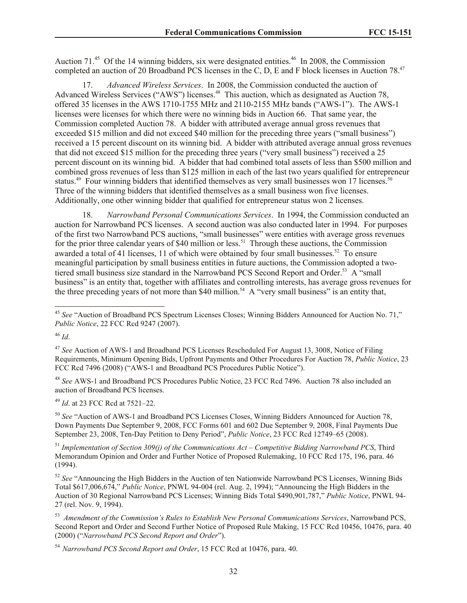Auction 71.<sup>45</sup> Of the 14 winning bidders, six were designated entities.<sup>46</sup> In 2008, the Commission completed an auction of 20 Broadband PCS licenses in the C, D, E and F block licenses in Auction 78.<sup>47</sup>

17. *Advanced Wireless Services*. In 2008, the Commission conducted the auction of Advanced Wireless Services ("AWS") licenses.<sup>48</sup> This auction, which as designated as Auction 78, offered 35 licenses in the AWS 1710-1755 MHz and 2110-2155 MHz bands ("AWS-1"). The AWS-1 licenses were licenses for which there were no winning bids in Auction 66. That same year, the Commission completed Auction 78. A bidder with attributed average annual gross revenues that exceeded \$15 million and did not exceed \$40 million for the preceding three years ("small business") received a 15 percent discount on its winning bid. A bidder with attributed average annual gross revenues that did not exceed \$15 million for the preceding three years ("very small business") received a 25 percent discount on its winning bid. A bidder that had combined total assets of less than \$500 million and combined gross revenues of less than \$125 million in each of the last two years qualified for entrepreneur status.<sup>49</sup> Four winning bidders that identified themselves as very small businesses won 17 licenses.<sup>50</sup> Three of the winning bidders that identified themselves as a small business won five licenses. Additionally, one other winning bidder that qualified for entrepreneur status won 2 licenses.

18. *Narrowband Personal Communications Services*. In 1994, the Commission conducted an auction for Narrowband PCS licenses. A second auction was also conducted later in 1994. For purposes of the first two Narrowband PCS auctions, "small businesses" were entities with average gross revenues for the prior three calendar years of \$40 million or less.<sup>51</sup> Through these auctions, the Commission awarded a total of 41 licenses, 11 of which were obtained by four small businesses.<sup>52</sup> To ensure meaningful participation by small business entities in future auctions, the Commission adopted a twotiered small business size standard in the Narrowband PCS Second Report and Order.<sup>53</sup> A "small business" is an entity that, together with affiliates and controlling interests, has average gross revenues for the three preceding years of not more than \$40 million.<sup>54</sup> A "very small business" is an entity that,

<sup>46</sup> *Id*.

 $\overline{a}$ 

<sup>48</sup> *See* AWS-1 and Broadband PCS Procedures Public Notice, 23 FCC Rcd 7496. Auction 78 also included an auction of Broadband PCS licenses.

<sup>49</sup> *Id*. at 23 FCC Rcd at 7521–22.

<sup>50</sup> *See* "Auction of AWS-1 and Broadband PCS Licenses Closes, Winning Bidders Announced for Auction 78, Down Payments Due September 9, 2008, FCC Forms 601 and 602 Due September 9, 2008, Final Payments Due September 23, 2008, Ten-Day Petition to Deny Period", *Public Notice*, 23 FCC Rcd 12749–65 (2008).

<sup>51</sup> *Implementation of Section 309(j) of the Communications Act – Competitive Bidding Narrowband PCS*, Third Memorandum Opinion and Order and Further Notice of Proposed Rulemaking, 10 FCC Rcd 175, 196, para. 46 (1994).

<sup>52</sup> See "Announcing the High Bidders in the Auction of ten Nationwide Narrowband PCS Licenses, Winning Bids Total \$617,006,674," *Public Notice*, PNWL 94-004 (rel. Aug. 2, 1994); "Announcing the High Bidders in the Auction of 30 Regional Narrowband PCS Licenses; Winning Bids Total \$490,901,787," *Public Notice*, PNWL 94- 27 (rel. Nov. 9, 1994).

53 *Amendment of the Commission's Rules to Establish New Personal Communications Services*, Narrowband PCS, Second Report and Order and Second Further Notice of Proposed Rule Making, 15 FCC Rcd 10456, 10476, para. 40 (2000) ("*Narrowband PCS Second Report and Order*").

<sup>45</sup> *See* "Auction of Broadband PCS Spectrum Licenses Closes; Winning Bidders Announced for Auction No. 71," *Public Notice*, 22 FCC Rcd 9247 (2007).

<sup>47</sup> *See* Auction of AWS-1 and Broadband PCS Licenses Rescheduled For August 13, 3008, Notice of Filing Requirements, Minimum Opening Bids, Upfront Payments and Other Procedures For Auction 78, *Public Notice*, 23 FCC Rcd 7496 (2008) ("AWS-1 and Broadband PCS Procedures Public Notice").

<sup>54</sup>*Narrowband PCS Second Report and Order*, 15 FCC Rcd at 10476, para. 40.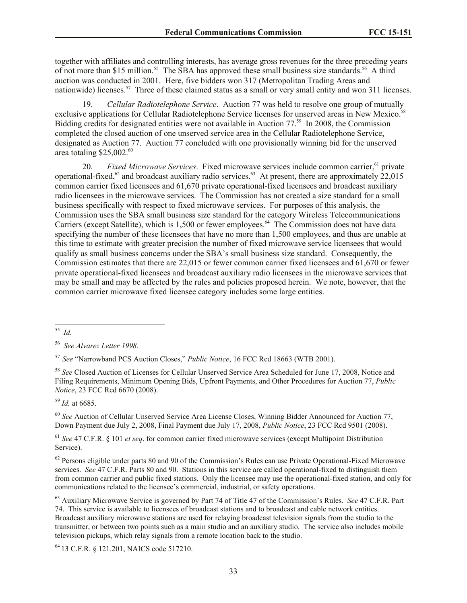together with affiliates and controlling interests, has average gross revenues for the three preceding years of not more than \$15 million.<sup>55</sup> The SBA has approved these small business size standards.<sup>56</sup> A third auction was conducted in 2001. Here, five bidders won 317 (Metropolitan Trading Areas and nationwide) licenses.<sup>57</sup> Three of these claimed status as a small or very small entity and won 311 licenses.

19. *Cellular Radiotelephone Service*. Auction 77 was held to resolve one group of mutually exclusive applications for Cellular Radiotelephone Service licenses for unserved areas in New Mexico.<sup>58</sup> Bidding credits for designated entities were not available in Auction 77.<sup>59</sup> In 2008, the Commission completed the closed auction of one unserved service area in the Cellular Radiotelephone Service, designated as Auction 77. Auction 77 concluded with one provisionally winning bid for the unserved area totaling \$25,002.<sup>60</sup>

20. *Fixed Microwave Services*. Fixed microwave services include common carrier,<sup>61</sup> private operational-fixed,<sup>62</sup> and broadcast auxiliary radio services.<sup>63</sup> At present, there are approximately 22,015 common carrier fixed licensees and 61,670 private operational-fixed licensees and broadcast auxiliary radio licensees in the microwave services. The Commission has not created a size standard for a small business specifically with respect to fixed microwave services. For purposes of this analysis, the Commission uses the SBA small business size standard for the category Wireless Telecommunications Carriers (except Satellite), which is 1,500 or fewer employees.<sup>64</sup> The Commission does not have data specifying the number of these licensees that have no more than 1,500 employees, and thus are unable at this time to estimate with greater precision the number of fixed microwave service licensees that would qualify as small business concerns under the SBA's small business size standard. Consequently, the Commission estimates that there are 22,015 or fewer common carrier fixed licensees and 61,670 or fewer private operational-fixed licensees and broadcast auxiliary radio licensees in the microwave services that may be small and may be affected by the rules and policies proposed herein. We note, however, that the common carrier microwave fixed licensee category includes some large entities.

<sup>58</sup> *See* Closed Auction of Licenses for Cellular Unserved Service Area Scheduled for June 17, 2008, Notice and Filing Requirements, Minimum Opening Bids, Upfront Payments, and Other Procedures for Auction 77, *Public Notice*, 23 FCC Rcd 6670 (2008).

<sup>59</sup> *Id.* at 6685.

<sup>60</sup> *See* Auction of Cellular Unserved Service Area License Closes, Winning Bidder Announced for Auction 77, Down Payment due July 2, 2008, Final Payment due July 17, 2008, *Public Notice*, 23 FCC Rcd 9501 (2008).

<sup>61</sup> *See* 47 C.F.R. § 101 *et seq*. for common carrier fixed microwave services (except Multipoint Distribution Service).

 $62$  Persons eligible under parts 80 and 90 of the Commission's Rules can use Private Operational-Fixed Microwave services. *See* 47 C.F.R. Parts 80 and 90. Stations in this service are called operational-fixed to distinguish them from common carrier and public fixed stations. Only the licensee may use the operational-fixed station, and only for communications related to the licensee's commercial, industrial, or safety operations.

<sup>63</sup> Auxiliary Microwave Service is governed by Part 74 of Title 47 of the Commission's Rules. *See* 47 C.F.R. Part 74. This service is available to licensees of broadcast stations and to broadcast and cable network entities. Broadcast auxiliary microwave stations are used for relaying broadcast television signals from the studio to the transmitter, or between two points such as a main studio and an auxiliary studio. The service also includes mobile television pickups, which relay signals from a remote location back to the studio.

<sup>64</sup> 13 C.F.R. § 121.201, NAICS code 517210.

 55 *Id.*

<sup>56</sup> *See Alvarez Letter 1998*.

<sup>57</sup>*See* "Narrowband PCS Auction Closes," *Public Notice*, 16 FCC Rcd 18663 (WTB 2001).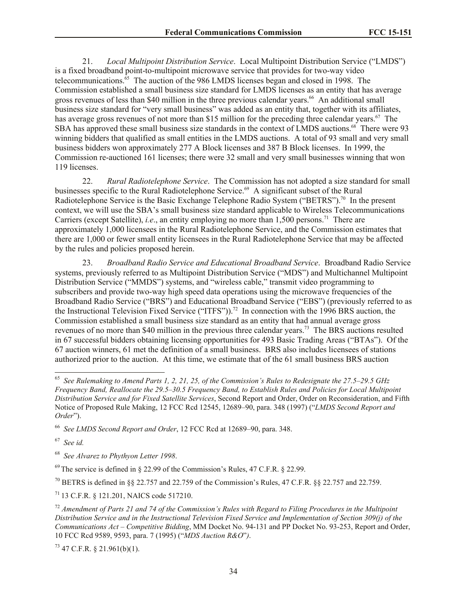21. *Local Multipoint Distribution Service*. Local Multipoint Distribution Service ("LMDS") is a fixed broadband point-to-multipoint microwave service that provides for two-way video telecommunications.<sup>65</sup> The auction of the 986 LMDS licenses began and closed in 1998. The Commission established a small business size standard for LMDS licenses as an entity that has average gross revenues of less than \$40 million in the three previous calendar years.<sup>66</sup> An additional small business size standard for "very small business" was added as an entity that, together with its affiliates, has average gross revenues of not more than \$15 million for the preceding three calendar years.<sup>67</sup> The SBA has approved these small business size standards in the context of LMDS auctions.<sup>68</sup> There were 93 winning bidders that qualified as small entities in the LMDS auctions. A total of 93 small and very small business bidders won approximately 277 A Block licenses and 387 B Block licenses. In 1999, the Commission re-auctioned 161 licenses; there were 32 small and very small businesses winning that won 119 licenses.

22. *Rural Radiotelephone Service*. The Commission has not adopted a size standard for small businesses specific to the Rural Radiotelephone Service.<sup>69</sup> A significant subset of the Rural Radiotelephone Service is the Basic Exchange Telephone Radio System ("BETRS").<sup>70</sup> In the present context, we will use the SBA's small business size standard applicable to Wireless Telecommunications Carriers (except Satellite), *i.e.*, an entity employing no more than 1,500 persons.<sup>71</sup> There are approximately 1,000 licensees in the Rural Radiotelephone Service, and the Commission estimates that there are 1,000 or fewer small entity licensees in the Rural Radiotelephone Service that may be affected by the rules and policies proposed herein.

23. *Broadband Radio Service and Educational Broadband Service*. Broadband Radio Service systems, previously referred to as Multipoint Distribution Service ("MDS") and Multichannel Multipoint Distribution Service ("MMDS") systems, and "wireless cable," transmit video programming to subscribers and provide two-way high speed data operations using the microwave frequencies of the Broadband Radio Service ("BRS") and Educational Broadband Service ("EBS") (previously referred to as the Instructional Television Fixed Service ("ITFS")).<sup>72</sup> In connection with the 1996 BRS auction, the Commission established a small business size standard as an entity that had annual average gross revenues of no more than \$40 million in the previous three calendar years.<sup>73</sup> The BRS auctions resulted in 67 successful bidders obtaining licensing opportunities for 493 Basic Trading Areas ("BTAs"). Of the 67 auction winners, 61 met the definition of a small business. BRS also includes licensees of stations authorized prior to the auction. At this time, we estimate that of the 61 small business BRS auction

67 *See id.*

<sup>71</sup> 13 C.F.R. § 121.201, NAICS code 517210.

 $73$  47 C.F.R. § 21.961(b)(1).

 65 *See Rulemaking to Amend Parts 1, 2, 21, 25, of the Commission's Rules to Redesignate the 27.5–29.5 GHz Frequency Band, Reallocate the 29.5–30.5 Frequency Band, to Establish Rules and Policies for Local Multipoint Distribution Service and for Fixed Satellite Services*, Second Report and Order, Order on Reconsideration, and Fifth Notice of Proposed Rule Making, 12 FCC Rcd 12545, 12689–90, para. 348 (1997) ("*LMDS Second Report and Order*").

<sup>66</sup> *See LMDS Second Report and Order*, 12 FCC Rcd at 12689–90, para. 348.

<sup>68</sup>  *See Alvarez to Phythyon Letter 1998*.

 $^{69}$  The service is defined in § 22.99 of the Commission's Rules, 47 C.F.R. § 22.99.

 $^{70}$  BETRS is defined in §§ 22.757 and 22.759 of the Commission's Rules, 47 C.F.R. §§ 22.757 and 22.759.

<sup>72</sup> *Amendment of Parts 21 and 74 of the Commission's Rules with Regard to Filing Procedures in the Multipoint Distribution Service and in the Instructional Television Fixed Service and Implementation of Section 309(j) of the Communications Act – Competitive Bidding*, MM Docket No. 94-131 and PP Docket No. 93-253, Report and Order, 10 FCC Rcd 9589, 9593, para. 7 (1995) ("*MDS Auction R&O*"*)*.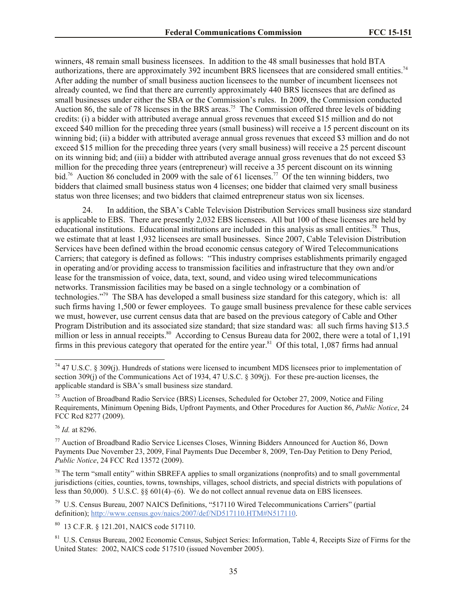winners, 48 remain small business licensees. In addition to the 48 small businesses that hold BTA authorizations, there are approximately 392 incumbent BRS licensees that are considered small entities.<sup>74</sup> After adding the number of small business auction licensees to the number of incumbent licensees not already counted, we find that there are currently approximately 440 BRS licensees that are defined as small businesses under either the SBA or the Commission's rules. In 2009, the Commission conducted Auction 86, the sale of 78 licenses in the BRS areas.<sup>75</sup> The Commission offered three levels of bidding credits: (i) a bidder with attributed average annual gross revenues that exceed \$15 million and do not exceed \$40 million for the preceding three years (small business) will receive a 15 percent discount on its winning bid; (ii) a bidder with attributed average annual gross revenues that exceed \$3 million and do not exceed \$15 million for the preceding three years (very small business) will receive a 25 percent discount on its winning bid; and (iii) a bidder with attributed average annual gross revenues that do not exceed \$3 million for the preceding three years (entrepreneur) will receive a 35 percent discount on its winning bid.<sup>76</sup> Auction 86 concluded in 2009 with the sale of 61 licenses.<sup>77</sup> Of the ten winning bidders, two bidders that claimed small business status won 4 licenses; one bidder that claimed very small business status won three licenses; and two bidders that claimed entrepreneur status won six licenses.

24. In addition, the SBA's Cable Television Distribution Services small business size standard is applicable to EBS. There are presently 2,032 EBS licensees. All but 100 of these licenses are held by educational institutions. Educational institutions are included in this analysis as small entities.<sup>78</sup> Thus, we estimate that at least 1,932 licensees are small businesses. Since 2007, Cable Television Distribution Services have been defined within the broad economic census category of Wired Telecommunications Carriers; that category is defined as follows: "This industry comprises establishments primarily engaged in operating and/or providing access to transmission facilities and infrastructure that they own and/or lease for the transmission of voice, data, text, sound, and video using wired telecommunications networks. Transmission facilities may be based on a single technology or a combination of technologies."<sup>79</sup> The SBA has developed a small business size standard for this category, which is: all such firms having 1,500 or fewer employees. To gauge small business prevalence for these cable services we must, however, use current census data that are based on the previous category of Cable and Other Program Distribution and its associated size standard; that size standard was: all such firms having \$13.5 million or less in annual receipts.<sup>80</sup> According to Census Bureau data for 2002, there were a total of 1,191 firms in this previous category that operated for the entire year.<sup>81</sup> Of this total,  $1,087$  firms had annual

<sup>76</sup> *Id.* at 8296.

 $\overline{a}$ 

<sup>79</sup> U.S. Census Bureau, 2007 NAICS Definitions, "517110 Wired Telecommunications Carriers" (partial definition); http://www.census.gov/naics/2007/def/ND517110.HTM#N517110.

80 13 C.F.R. § 121.201, NAICS code 517110.

 $74$  47 U.S.C. § 309(j). Hundreds of stations were licensed to incumbent MDS licensees prior to implementation of section 309(j) of the Communications Act of 1934, 47 U.S.C. § 309(j). For these pre-auction licenses, the applicable standard is SBA's small business size standard.

<sup>&</sup>lt;sup>75</sup> Auction of Broadband Radio Service (BRS) Licenses, Scheduled for October 27, 2009, Notice and Filing Requirements, Minimum Opening Bids, Upfront Payments, and Other Procedures for Auction 86, *Public Notice*, 24 FCC Rcd 8277 (2009).

<sup>77</sup> Auction of Broadband Radio Service Licenses Closes, Winning Bidders Announced for Auction 86, Down Payments Due November 23, 2009, Final Payments Due December 8, 2009, Ten-Day Petition to Deny Period, *Public Notice*, 24 FCC Rcd 13572 (2009).

<sup>&</sup>lt;sup>78</sup> The term "small entity" within SBREFA applies to small organizations (nonprofits) and to small governmental jurisdictions (cities, counties, towns, townships, villages, school districts, and special districts with populations of less than 50,000). 5 U.S.C. §§ 601(4)–(6). We do not collect annual revenue data on EBS licensees.

<sup>&</sup>lt;sup>81</sup> U.S. Census Bureau, 2002 Economic Census, Subject Series: Information, Table 4, Receipts Size of Firms for the United States: 2002, NAICS code 517510 (issued November 2005).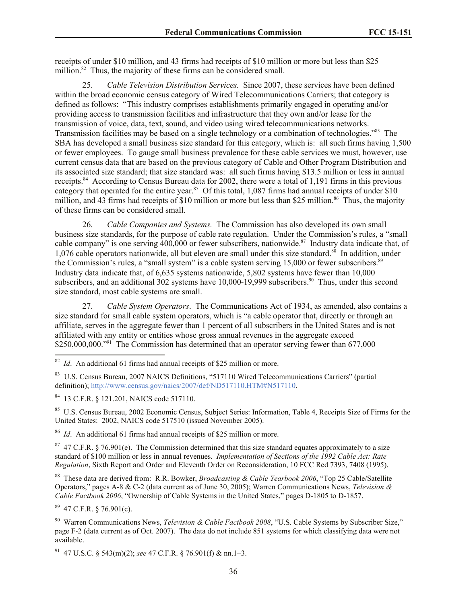receipts of under \$10 million, and 43 firms had receipts of \$10 million or more but less than \$25 million.<sup>82</sup> Thus, the majority of these firms can be considered small.

25. *Cable Television Distribution Services.* Since 2007, these services have been defined within the broad economic census category of Wired Telecommunications Carriers; that category is defined as follows: "This industry comprises establishments primarily engaged in operating and/or providing access to transmission facilities and infrastructure that they own and/or lease for the transmission of voice, data, text, sound, and video using wired telecommunications networks. Transmission facilities may be based on a single technology or a combination of technologies."<sup>83</sup> The SBA has developed a small business size standard for this category, which is: all such firms having 1,500 or fewer employees. To gauge small business prevalence for these cable services we must, however, use current census data that are based on the previous category of Cable and Other Program Distribution and its associated size standard; that size standard was: all such firms having \$13.5 million or less in annual receipts.<sup>84</sup> According to Census Bureau data for 2002, there were a total of 1,191 firms in this previous category that operated for the entire year.<sup>85</sup> Of this total, 1,087 firms had annual receipts of under \$10 million, and 43 firms had receipts of \$10 million or more but less than \$25 million.<sup>86</sup> Thus, the majority of these firms can be considered small.

26. *Cable Companies and Systems.* The Commission has also developed its own small business size standards, for the purpose of cable rate regulation. Under the Commission's rules, a "small cable company" is one serving  $400,000$  or fewer subscribers, nationwide.<sup>87</sup> Industry data indicate that, of 1,076 cable operators nationwide, all but eleven are small under this size standard.<sup>88</sup> In addition, under the Commission's rules, a "small system" is a cable system serving 15,000 or fewer subscribers.<sup>89</sup> Industry data indicate that, of 6,635 systems nationwide, 5,802 systems have fewer than 10,000 subscribers, and an additional 302 systems have  $10,000$ -19,999 subscribers.<sup>90</sup> Thus, under this second size standard, most cable systems are small.

27. *Cable System Operators*. The Communications Act of 1934, as amended, also contains a size standard for small cable system operators, which is "a cable operator that, directly or through an affiliate, serves in the aggregate fewer than 1 percent of all subscribers in the United States and is not affiliated with any entity or entities whose gross annual revenues in the aggregate exceed \$250,000,000."<sup>91</sup> The Commission has determined that an operator serving fewer than 677,000

 $82$  *Id.* An additional 61 firms had annual receipts of \$25 million or more.

<sup>83</sup> U.S. Census Bureau, 2007 NAICS Definitions, "517110 Wired Telecommunications Carriers" (partial definition); http://www.census.gov/naics/2007/def/ND517110.HTM#N517110.

84 13 C.F.R. § 121.201, NAICS code 517110.

<sup>85</sup> U.S. Census Bureau, 2002 Economic Census, Subject Series: Information, Table 4, Receipts Size of Firms for the United States: 2002, NAICS code 517510 (issued November 2005).

<sup>86</sup> *Id*. An additional 61 firms had annual receipts of \$25 million or more.

 $87$  47 C.F.R. § 76.901(e). The Commission determined that this size standard equates approximately to a size standard of \$100 million or less in annual revenues. *Implementation of Sections of the 1992 Cable Act: Rate Regulation*, Sixth Report and Order and Eleventh Order on Reconsideration, 10 FCC Rcd 7393, 7408 (1995).

88 These data are derived from: R.R. Bowker, *Broadcasting & Cable Yearbook 2006*, "Top 25 Cable/Satellite Operators," pages A-8 & C-2 (data current as of June 30, 2005); Warren Communications News, *Television & Cable Factbook 2006*, "Ownership of Cable Systems in the United States," pages D-1805 to D-1857.

 $89$  47 C.F.R. § 76.901(c).

 $\overline{a}$ 

90 Warren Communications News, *Television & Cable Factbook 2008*, "U.S. Cable Systems by Subscriber Size," page F-2 (data current as of Oct. 2007). The data do not include 851 systems for which classifying data were not available.

91 47 U.S.C. § 543(m)(2); *see* 47 C.F.R. § 76.901(f) & nn.1–3.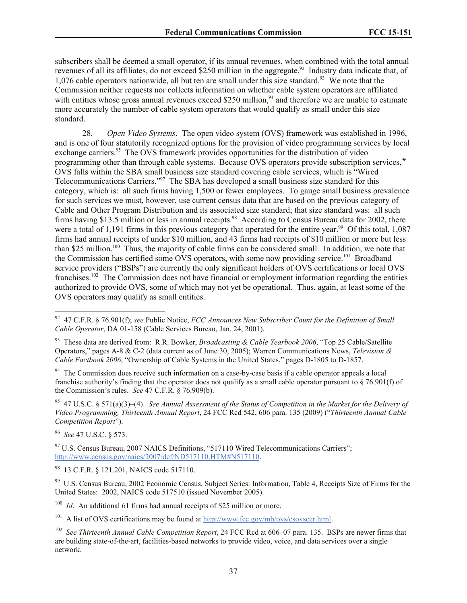subscribers shall be deemed a small operator, if its annual revenues, when combined with the total annual revenues of all its affiliates, do not exceed \$250 million in the aggregate.<sup>92</sup> Industry data indicate that, of 1,076 cable operators nationwide, all but ten are small under this size standard.<sup>93</sup> We note that the Commission neither requests nor collects information on whether cable system operators are affiliated with entities whose gross annual revenues exceed \$250 million,<sup>94</sup> and therefore we are unable to estimate more accurately the number of cable system operators that would qualify as small under this size standard.

28. *Open Video Systems*. The open video system (OVS) framework was established in 1996, and is one of four statutorily recognized options for the provision of video programming services by local exchange carriers.<sup>95</sup> The OVS framework provides opportunities for the distribution of video programming other than through cable systems. Because OVS operators provide subscription services,<sup>96</sup> OVS falls within the SBA small business size standard covering cable services, which is "Wired Telecommunications Carriers."<sup>97</sup> The SBA has developed a small business size standard for this category, which is: all such firms having 1,500 or fewer employees. To gauge small business prevalence for such services we must, however, use current census data that are based on the previous category of Cable and Other Program Distribution and its associated size standard; that size standard was: all such firms having \$13.5 million or less in annual receipts.<sup>98</sup> According to Census Bureau data for 2002, there were a total of 1,191 firms in this previous category that operated for the entire year.<sup>99</sup> Of this total, 1,087 firms had annual receipts of under \$10 million, and 43 firms had receipts of \$10 million or more but less than \$25 million.<sup>100</sup> Thus, the majority of cable firms can be considered small. In addition, we note that the Commission has certified some OVS operators, with some now providing service.<sup>101</sup> Broadband service providers ("BSPs") are currently the only significant holders of OVS certifications or local OVS franchises.<sup>102</sup> The Commission does not have financial or employment information regarding the entities authorized to provide OVS, some of which may not yet be operational. Thus, again, at least some of the OVS operators may qualify as small entities.

95 47 U.S.C. § 571(a)(3)–(4). *See Annual Assessment of the Status of Competition in the Market for the Delivery of Video Programming, Thirteenth Annual Report*, 24 FCC Rcd 542, 606 para. 135 (2009) ("*Thirteenth Annual Cable Competition Report*").

96 *See* 47 U.S.C. § 573.

 $97$  U.S. Census Bureau, 2007 NAICS Definitions, "517110 Wired Telecommunications Carriers"; http://www.census.gov/naics/2007/def/ND517110.HTM#N517110.

<sup>100</sup> *Id*. An additional 61 firms had annual receipts of \$25 million or more.

 $101$  A list of OVS certifications may be found at  $\frac{http://www.fcc.gov/mb/ovs/csovscer.html}{http://www.fcc.gov/mb/ovs/csovscer.html}.$ 

 92 47 C.F.R. § 76.901(f); *see* Public Notice, *FCC Announces New Subscriber Count for the Definition of Small Cable Operator*, DA 01-158 (Cable Services Bureau, Jan. 24, 2001).

<sup>93</sup> These data are derived from: R.R. Bowker, *Broadcasting & Cable Yearbook 2006*, "Top 25 Cable/Satellite Operators," pages A-8 & C-2 (data current as of June 30, 2005); Warren Communications News, *Television & Cable Factbook 2006*, "Ownership of Cable Systems in the United States," pages D-1805 to D-1857.

<sup>&</sup>lt;sup>94</sup> The Commission does receive such information on a case-by-case basis if a cable operator appeals a local franchise authority's finding that the operator does not qualify as a small cable operator pursuant to  $\S$  76.901(f) of the Commission's rules. *See* 47 C.F.R. § 76.909(b).

<sup>&</sup>lt;sup>98</sup> 13 C.F.R. § 121.201, NAICS code 517110.

<sup>&</sup>lt;sup>99</sup> U.S. Census Bureau, 2002 Economic Census, Subject Series: Information, Table 4, Receipts Size of Firms for the United States: 2002, NAICS code 517510 (issued November 2005).

<sup>&</sup>lt;sup>102</sup> See Thirteenth Annual Cable Competition Report, 24 FCC Rcd at 606–07 para. 135. BSPs are newer firms that are building state-of-the-art, facilities-based networks to provide video, voice, and data services over a single network.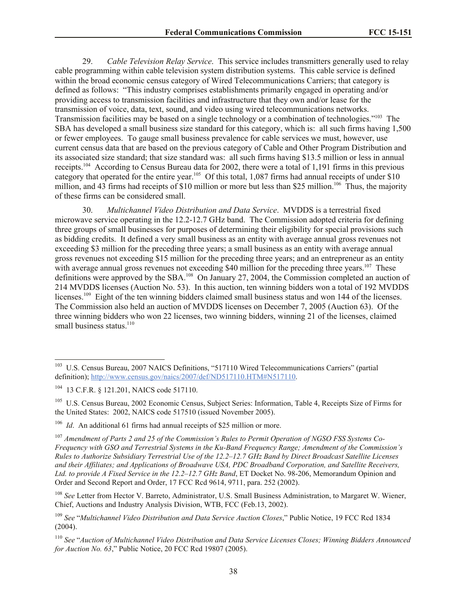29. *Cable Television Relay Service*. This service includes transmitters generally used to relay cable programming within cable television system distribution systems. This cable service is defined within the broad economic census category of Wired Telecommunications Carriers; that category is defined as follows: "This industry comprises establishments primarily engaged in operating and/or providing access to transmission facilities and infrastructure that they own and/or lease for the transmission of voice, data, text, sound, and video using wired telecommunications networks. Transmission facilities may be based on a single technology or a combination of technologies."<sup>103</sup> The SBA has developed a small business size standard for this category, which is: all such firms having 1,500 or fewer employees. To gauge small business prevalence for cable services we must, however, use current census data that are based on the previous category of Cable and Other Program Distribution and its associated size standard; that size standard was: all such firms having \$13.5 million or less in annual receipts.<sup>104</sup> According to Census Bureau data for 2002, there were a total of 1,191 firms in this previous category that operated for the entire year.<sup>105</sup> Of this total, 1,087 firms had annual receipts of under \$10 million, and 43 firms had receipts of \$10 million or more but less than \$25 million.<sup>106</sup> Thus, the majority of these firms can be considered small.

30. *Multichannel Video Distribution and Data Service*. MVDDS is a terrestrial fixed microwave service operating in the 12.2-12.7 GHz band. The Commission adopted criteria for defining three groups of small businesses for purposes of determining their eligibility for special provisions such as bidding credits. It defined a very small business as an entity with average annual gross revenues not exceeding \$3 million for the preceding three years; a small business as an entity with average annual gross revenues not exceeding \$15 million for the preceding three years; and an entrepreneur as an entity with average annual gross revenues not exceeding \$40 million for the preceding three years.<sup>107</sup> These definitions were approved by the SBA.<sup>108</sup> On January 27, 2004, the Commission completed an auction of 214 MVDDS licenses (Auction No. 53). In this auction, ten winning bidders won a total of 192 MVDDS licenses.<sup>109</sup> Eight of the ten winning bidders claimed small business status and won 144 of the licenses. The Commission also held an auction of MVDDS licenses on December 7, 2005 (Auction 63). Of the three winning bidders who won 22 licenses, two winning bidders, winning 21 of the licenses, claimed small business status. $110$ 

 $\overline{a}$ 

<sup>&</sup>lt;sup>103</sup> U.S. Census Bureau, 2007 NAICS Definitions, "517110 Wired Telecommunications Carriers" (partial definition); http://www.census.gov/naics/2007/def/ND517110.HTM#N517110.

<sup>&</sup>lt;sup>104</sup> 13 C.F.R. § 121.201, NAICS code 517110.

<sup>&</sup>lt;sup>105</sup> U.S. Census Bureau, 2002 Economic Census, Subject Series: Information, Table 4, Receipts Size of Firms for the United States: 2002, NAICS code 517510 (issued November 2005).

<sup>&</sup>lt;sup>106</sup> *Id*. An additional 61 firms had annual receipts of \$25 million or more.

<sup>107</sup> *Amendment of Parts 2 and 25 of the Commission's Rules to Permit Operation of NGSO FSS Systems Co-Frequency with GSO and Terrestrial Systems in the Ku-Band Frequency Range; Amendment of the Commission's Rules to Authorize Subsidiary Terrestrial Use of the 12.2–12.7 GHz Band by Direct Broadcast Satellite Licenses and their Affiliates; and Applications of Broadwave USA, PDC Broadband Corporation, and Satellite Receivers, Ltd. to provide A Fixed Service in the 12.2–12.7 GHz Band*, ET Docket No. 98-206, Memorandum Opinion and Order and Second Report and Order, 17 FCC Rcd 9614, 9711, para. 252 (2002).

<sup>108</sup> *See* Letter from Hector V. Barreto, Administrator, U.S. Small Business Administration, to Margaret W. Wiener, Chief, Auctions and Industry Analysis Division, WTB, FCC (Feb.13, 2002).

<sup>109</sup> *See* "*Multichannel Video Distribution and Data Service Auction Closes*," Public Notice, 19 FCC Rcd 1834 (2004).

<sup>110</sup> *See* "*Auction of Multichannel Video Distribution and Data Service Licenses Closes; Winning Bidders Announced for Auction No. 63*," Public Notice, 20 FCC Rcd 19807 (2005).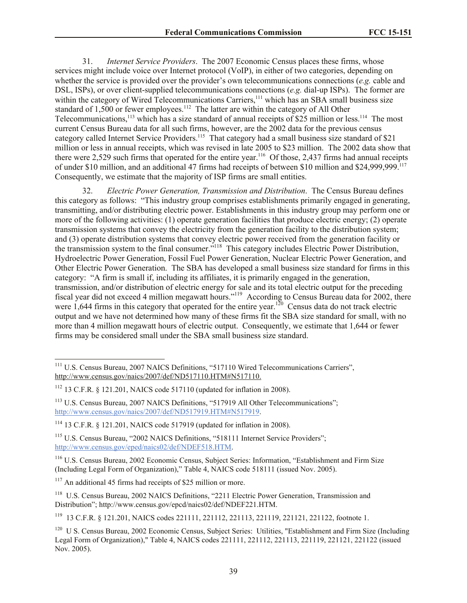31. *Internet Service Providers*. The 2007 Economic Census places these firms, whose services might include voice over Internet protocol (VoIP), in either of two categories, depending on whether the service is provided over the provider's own telecommunications connections (*e.g.* cable and DSL, ISPs), or over client-supplied telecommunications connections (*e.g.* dial-up ISPs). The former are within the category of Wired Telecommunications Carriers,<sup>111</sup> which has an SBA small business size standard of 1,500 or fewer employees.<sup>112</sup> The latter are within the category of All Other Telecommunications,<sup>113</sup> which has a size standard of annual receipts of \$25 million or less.<sup>114</sup> The most current Census Bureau data for all such firms, however, are the 2002 data for the previous census category called Internet Service Providers.<sup>115</sup> That category had a small business size standard of \$21 million or less in annual receipts, which was revised in late 2005 to \$23 million. The 2002 data show that there were 2,529 such firms that operated for the entire year.<sup>116</sup> Of those, 2,437 firms had annual receipts of under \$10 million, and an additional 47 firms had receipts of between \$10 million and \$24,999,999.<sup>117</sup> Consequently, we estimate that the majority of ISP firms are small entities.

32. *Electric Power Generation, Transmission and Distribution*. The Census Bureau defines this category as follows: "This industry group comprises establishments primarily engaged in generating, transmitting, and/or distributing electric power. Establishments in this industry group may perform one or more of the following activities: (1) operate generation facilities that produce electric energy; (2) operate transmission systems that convey the electricity from the generation facility to the distribution system; and (3) operate distribution systems that convey electric power received from the generation facility or the transmission system to the final consumer."<sup>118</sup> This category includes Electric Power Distribution, Hydroelectric Power Generation, Fossil Fuel Power Generation, Nuclear Electric Power Generation, and Other Electric Power Generation. The SBA has developed a small business size standard for firms in this category: "A firm is small if, including its affiliates, it is primarily engaged in the generation, transmission, and/or distribution of electric energy for sale and its total electric output for the preceding fiscal year did not exceed 4 million megawatt hours."<sup>119</sup> According to Census Bureau data for 2002, there were 1,644 firms in this category that operated for the entire year.<sup>120</sup> Census data do not track electric output and we have not determined how many of these firms fit the SBA size standard for small, with no more than 4 million megawatt hours of electric output. Consequently, we estimate that 1,644 or fewer firms may be considered small under the SBA small business size standard.

 $\overline{a}$ 

<sup>&</sup>lt;sup>111</sup> U.S. Census Bureau, 2007 NAICS Definitions, "517110 Wired Telecommunications Carriers", http://www.census.gov/naics/2007/def/ND517110.HTM#N517110.

<sup>112</sup> 13 C.F.R. § 121.201, NAICS code 517110 (updated for inflation in 2008).

<sup>&</sup>lt;sup>113</sup> U.S. Census Bureau, 2007 NAICS Definitions, "517919 All Other Telecommunications"; http://www.census.gov/naics/2007/def/ND517919.HTM#N517919.

<sup>114</sup> 13 C.F.R. § 121.201, NAICS code 517919 (updated for inflation in 2008).

<sup>&</sup>lt;sup>115</sup> U.S. Census Bureau, "2002 NAICS Definitions, "518111 Internet Service Providers"; http://www.census.gov/eped/naics02/def/NDEF518.HTM.

<sup>116</sup> U.S. Census Bureau, 2002 Economic Census, Subject Series: Information, "Establishment and Firm Size (Including Legal Form of Organization)," Table 4, NAICS code 518111 (issued Nov. 2005).

<sup>&</sup>lt;sup>117</sup> An additional 45 firms had receipts of \$25 million or more.

<sup>&</sup>lt;sup>118</sup> U.S. Census Bureau, 2002 NAICS Definitions, "2211 Electric Power Generation, Transmission and Distribution"; http://www.census.gov/epcd/naics02/def/NDEF221.HTM.

<sup>119</sup> 13 C.F.R. § 121.201, NAICS codes 221111, 221112, 221113, 221119, 221121, 221122, footnote 1.

<sup>&</sup>lt;sup>120</sup> U S. Census Bureau, 2002 Economic Census, Subject Series: Utilities, "Establishment and Firm Size (Including Legal Form of Organization)," Table 4, NAICS codes 221111, 221112, 221113, 221119, 221121, 221122 (issued Nov. 2005).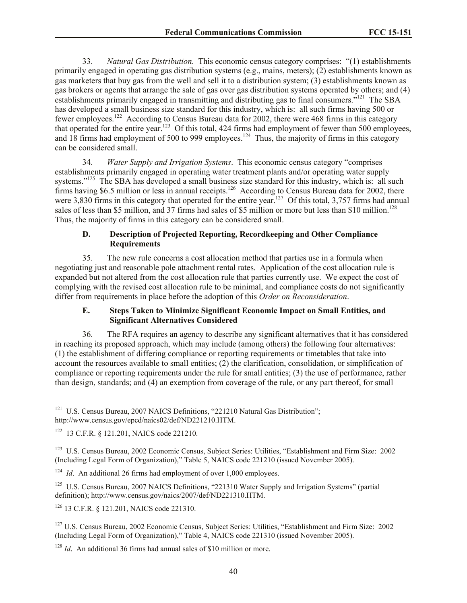33. *Natural Gas Distribution.* This economic census category comprises: "(1) establishments primarily engaged in operating gas distribution systems (e.g., mains, meters); (2) establishments known as gas marketers that buy gas from the well and sell it to a distribution system; (3) establishments known as gas brokers or agents that arrange the sale of gas over gas distribution systems operated by others; and (4) establishments primarily engaged in transmitting and distributing gas to final consumers."<sup>121</sup> The SBA has developed a small business size standard for this industry, which is: all such firms having 500 or fewer employees.<sup>122</sup> According to Census Bureau data for 2002, there were 468 firms in this category that operated for the entire year.<sup>123</sup> Of this total, 424 firms had employment of fewer than 500 employees, and 18 firms had employment of 500 to 999 employees.<sup>124</sup> Thus, the majority of firms in this category can be considered small.

34. *Water Supply and Irrigation Systems*. This economic census category "comprises establishments primarily engaged in operating water treatment plants and/or operating water supply systems."<sup>125</sup> The SBA has developed a small business size standard for this industry, which is: all such firms having \$6.5 million or less in annual receipts.<sup>126</sup> According to Census Bureau data for 2002, there were  $3,830$  firms in this category that operated for the entire year.<sup>127</sup> Of this total,  $3,757$  firms had annual sales of less than \$5 million, and 37 firms had sales of \$5 million or more but less than \$10 million.<sup>128</sup> Thus, the majority of firms in this category can be considered small.

### **D. Description of Projected Reporting, Recordkeeping and Other Compliance Requirements**

35. The new rule concerns a cost allocation method that parties use in a formula when negotiating just and reasonable pole attachment rental rates. Application of the cost allocation rule is expanded but not altered from the cost allocation rule that parties currently use. We expect the cost of complying with the revised cost allocation rule to be minimal, and compliance costs do not significantly differ from requirements in place before the adoption of this *Order on Reconsideration*.

### **E. Steps Taken to Minimize Significant Economic Impact on Small Entities, and Significant Alternatives Considered**

36. The RFA requires an agency to describe any significant alternatives that it has considered in reaching its proposed approach, which may include (among others) the following four alternatives: (1) the establishment of differing compliance or reporting requirements or timetables that take into account the resources available to small entities; (2) the clarification, consolidation, or simplification of compliance or reporting requirements under the rule for small entities; (3) the use of performance, rather than design, standards; and (4) an exemption from coverage of the rule, or any part thereof, for small

<sup>126</sup> 13 C.F.R. § 121.201, NAICS code 221310.

<sup>127</sup> U.S. Census Bureau, 2002 Economic Census, Subject Series: Utilities, "Establishment and Firm Size: 2002 (Including Legal Form of Organization)," Table 4, NAICS code 221310 (issued November 2005).

<sup>128</sup> *Id.* An additional 36 firms had annual sales of \$10 million or more.

<sup>&</sup>lt;sup>121</sup> U.S. Census Bureau, 2007 NAICS Definitions, "221210 Natural Gas Distribution"; http://www.census.gov/epcd/naics02/def/ND221210.HTM.

<sup>122</sup> 13 C.F.R. § 121.201, NAICS code 221210.

<sup>&</sup>lt;sup>123</sup> U.S. Census Bureau, 2002 Economic Census, Subject Series: Utilities, "Establishment and Firm Size: 2002 (Including Legal Form of Organization)," Table 5, NAICS code 221210 (issued November 2005).

<sup>&</sup>lt;sup>124</sup> *Id.* An additional 26 firms had employment of over 1,000 employees.

<sup>&</sup>lt;sup>125</sup> U.S. Census Bureau, 2007 NAICS Definitions, "221310 Water Supply and Irrigation Systems" (partial definition); http://www.census.gov/naics/2007/def/ND221310.HTM.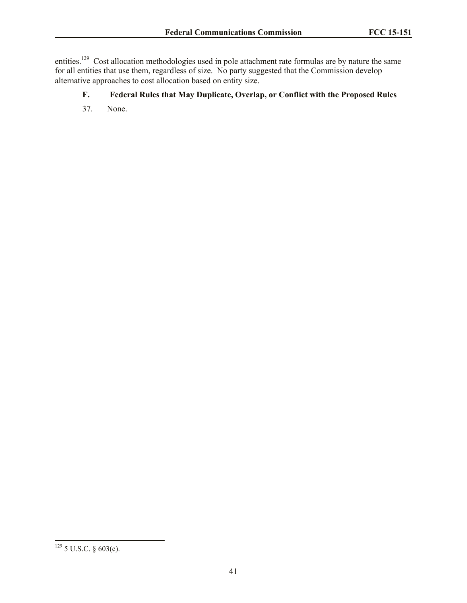entities.<sup>129</sup> Cost allocation methodologies used in pole attachment rate formulas are by nature the same for all entities that use them, regardless of size. No party suggested that the Commission develop alternative approaches to cost allocation based on entity size.

# **F. Federal Rules that May Duplicate, Overlap, or Conflict with the Proposed Rules**

37. None.

 $\overline{\phantom{a}}$  $129$  5 U.S.C. § 603(c).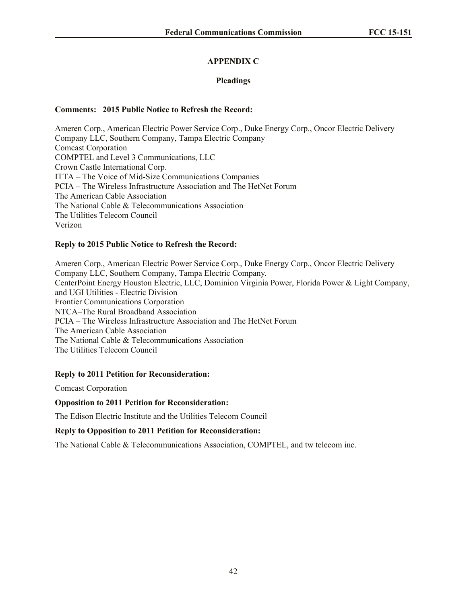# **APPENDIX C**

### **Pleadings**

### **Comments: 2015 Public Notice to Refresh the Record:**

Ameren Corp., American Electric Power Service Corp., Duke Energy Corp., Oncor Electric Delivery Company LLC, Southern Company, Tampa Electric Company Comcast Corporation COMPTEL and Level 3 Communications, LLC Crown Castle International Corp. ITTA – The Voice of Mid-Size Communications Companies PCIA – The Wireless Infrastructure Association and The HetNet Forum The American Cable Association The National Cable & Telecommunications Association The Utilities Telecom Council Verizon

### **Reply to 2015 Public Notice to Refresh the Record:**

Ameren Corp., American Electric Power Service Corp., Duke Energy Corp., Oncor Electric Delivery Company LLC, Southern Company, Tampa Electric Company*.* CenterPoint Energy Houston Electric, LLC, Dominion Virginia Power, Florida Power & Light Company, and UGI Utilities - Electric Division Frontier Communications Corporation NTCA–The Rural Broadband Association PCIA – The Wireless Infrastructure Association and The HetNet Forum The American Cable Association The National Cable & Telecommunications Association The Utilities Telecom Council

### **Reply to 2011 Petition for Reconsideration:**

Comcast Corporation

### **Opposition to 2011 Petition for Reconsideration:**

The Edison Electric Institute and the Utilities Telecom Council

### **Reply to Opposition to 2011 Petition for Reconsideration:**

The National Cable & Telecommunications Association, COMPTEL, and tw telecom inc.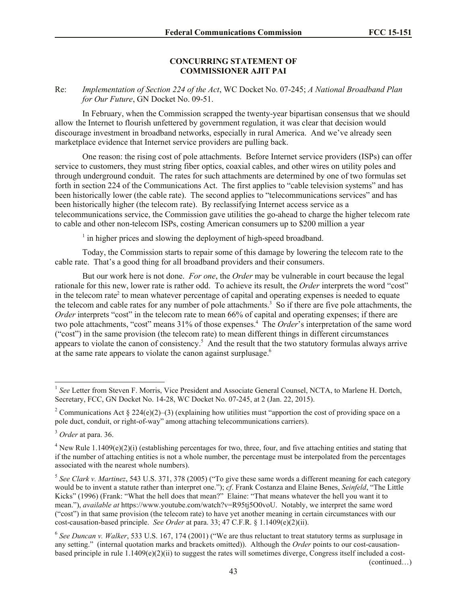### **CONCURRING STATEMENT OF COMMISSIONER AJIT PAI**

Re: *Implementation of Section 224 of the Act*, WC Docket No. 07-245; *A National Broadband Plan for Our Future*, GN Docket No. 09-51.

In February, when the Commission scrapped the twenty-year bipartisan consensus that we should allow the Internet to flourish unfettered by government regulation, it was clear that decision would discourage investment in broadband networks, especially in rural America. And we've already seen marketplace evidence that Internet service providers are pulling back.

One reason: the rising cost of pole attachments. Before Internet service providers (ISPs) can offer service to customers, they must string fiber optics, coaxial cables, and other wires on utility poles and through underground conduit. The rates for such attachments are determined by one of two formulas set forth in section 224 of the Communications Act. The first applies to "cable television systems" and has been historically lower (the cable rate). The second applies to "telecommunications services" and has been historically higher (the telecom rate). By reclassifying Internet access service as a telecommunications service, the Commission gave utilities the go-ahead to charge the higher telecom rate to cable and other non-telecom ISPs, costing American consumers up to \$200 million a year

<sup>1</sup> in higher prices and slowing the deployment of high-speed broadband.

Today, the Commission starts to repair some of this damage by lowering the telecom rate to the cable rate. That's a good thing for all broadband providers and their consumers.

But our work here is not done. *For one*, the *Order* may be vulnerable in court because the legal rationale for this new, lower rate is rather odd. To achieve its result, the *Order* interprets the word "cost" in the telecom rate<sup>2</sup> to mean whatever percentage of capital and operating expenses is needed to equate the telecom and cable rates for any number of pole attachments.<sup>3</sup> So if there are five pole attachments, the *Order* interprets "cost" in the telecom rate to mean 66% of capital and operating expenses; if there are two pole attachments, "cost" means 31% of those expenses.<sup>4</sup> The *Order*'s interpretation of the same word ("cost") in the same provision (the telecom rate) to mean different things in different circumstances appears to violate the canon of consistency.<sup>5</sup> And the result that the two statutory formulas always arrive at the same rate appears to violate the canon against surplusage.<sup>6</sup>

 $\overline{a}$ 

(continued…)

<sup>&</sup>lt;sup>1</sup> See Letter from Steven F. Morris, Vice President and Associate General Counsel, NCTA, to Marlene H. Dortch, Secretary, FCC, GN Docket No. 14-28, WC Docket No. 07-245, at 2 (Jan. 22, 2015).

<sup>&</sup>lt;sup>2</sup> Communications Act § 224(e)(2)–(3) (explaining how utilities must "apportion the cost of providing space on a pole duct, conduit, or right-of-way" among attaching telecommunications carriers).

<sup>3</sup> *Order* at para. 36.

 $4$  New Rule 1.1409(e)(2)(i) (establishing percentages for two, three, four, and five attaching entities and stating that if the number of attaching entities is not a whole number, the percentage must be interpolated from the percentages associated with the nearest whole numbers).

<sup>5</sup> *See Clark v. Martinez*, 543 U.S. 371, 378 (2005) ("To give these same words a different meaning for each category would be to invent a statute rather than interpret one."); *cf*. Frank Costanza and Elaine Benes, *Seinfeld*, "The Little Kicks" (1996) (Frank: "What the hell does that mean?" Elaine: "That means whatever the hell you want it to mean."), *available at* https://www.youtube.com/watch?v=R95tj5O0voU. Notably, we interpret the same word ("cost") in that same provision (the telecom rate) to have yet another meaning in certain circumstances with our cost-causation-based principle. *See Order* at para. 33; 47 C.F.R. § 1.1409(e)(2)(ii).

<sup>6</sup> *See Duncan v. Walker*, 533 U.S. 167, 174 (2001) ("We are thus reluctant to treat statutory terms as surplusage in any setting." (internal quotation marks and brackets omitted)). Although the *Order* points to our cost-causationbased principle in rule  $1.1409(e)(2)(ii)$  to suggest the rates will sometimes diverge, Congress itself included a cost-